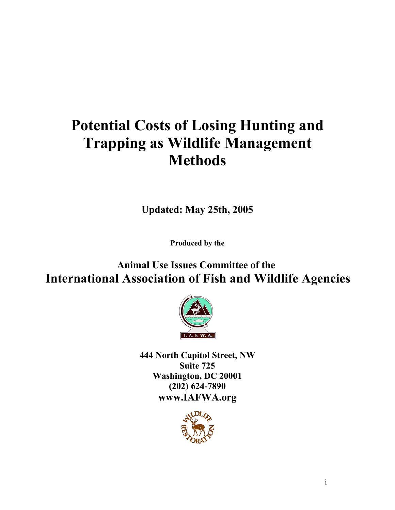# **Potential Costs of Losing Hunting and Trapping as Wildlife Management Methods**

**Updated: May 25th, 2005**

**Produced by the**

**Animal Use Issues Committee of the International Association of Fish and Wildlife Agencies**



**444 North Capitol Street, NW Suite 725 Washington, DC 20001 (202) 624-7890 www.IAFWA.org**

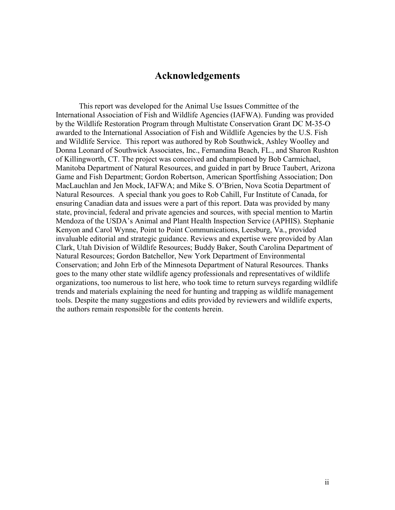# **Acknowledgements**

This report was developed for the Animal Use Issues Committee of the International Association of Fish and Wildlife Agencies (IAFWA). Funding was provided by the Wildlife Restoration Program through Multistate Conservation Grant DC M-35-O awarded to the International Association of Fish and Wildlife Agencies by the U.S. Fish and Wildlife Service. This report was authored by Rob Southwick, Ashley Woolley and Donna Leonard of Southwick Associates, Inc., Fernandina Beach, FL., and Sharon Rushton of Killingworth, CT. The project was conceived and championed by Bob Carmichael, Manitoba Department of Natural Resources, and guided in part by Bruce Taubert, Arizona Game and Fish Department; Gordon Robertson, American Sportfishing Association; Don MacLauchlan and Jen Mock, IAFWA; and Mike S. O'Brien, Nova Scotia Department of Natural Resources. A special thank you goes to Rob Cahill, Fur Institute of Canada, for ensuring Canadian data and issues were a part of this report. Data was provided by many state, provincial, federal and private agencies and sources, with special mention to Martin Mendoza of the USDA's Animal and Plant Health Inspection Service (APHIS). Stephanie Kenyon and Carol Wynne, Point to Point Communications, Leesburg, Va., provided invaluable editorial and strategic guidance. Reviews and expertise were provided by Alan Clark, Utah Division of Wildlife Resources; Buddy Baker, South Carolina Department of Natural Resources; Gordon Batchellor, New York Department of Environmental Conservation; and John Erb of the Minnesota Department of Natural Resources. Thanks goes to the many other state wildlife agency professionals and representatives of wildlife organizations, too numerous to list here, who took time to return surveys regarding wildlife trends and materials explaining the need for hunting and trapping as wildlife management tools. Despite the many suggestions and edits provided by reviewers and wildlife experts, the authors remain responsible for the contents herein.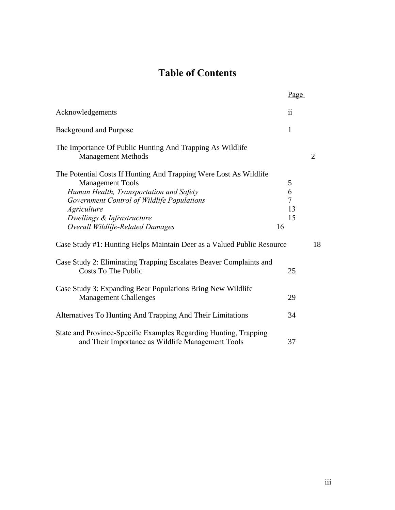# **Table of Contents**

|                                                                                                                                                                                                                                                                               | Page                          |                |
|-------------------------------------------------------------------------------------------------------------------------------------------------------------------------------------------------------------------------------------------------------------------------------|-------------------------------|----------------|
| Acknowledgements                                                                                                                                                                                                                                                              | $\ddot{\rm ii}$               |                |
| <b>Background and Purpose</b>                                                                                                                                                                                                                                                 | $\mathbf{1}$                  |                |
| The Importance Of Public Hunting And Trapping As Wildlife<br><b>Management Methods</b>                                                                                                                                                                                        |                               | $\overline{2}$ |
| The Potential Costs If Hunting And Trapping Were Lost As Wildlife<br><b>Management Tools</b><br>Human Health, Transportation and Safety<br>Government Control of Wildlife Populations<br><i>Agriculture</i><br>Dwellings & Infrastructure<br>Overall Wildlife-Related Damages | 5<br>6<br>7<br>13<br>15<br>16 |                |
| Case Study #1: Hunting Helps Maintain Deer as a Valued Public Resource                                                                                                                                                                                                        |                               | 18             |
| Case Study 2: Eliminating Trapping Escalates Beaver Complaints and<br><b>Costs To The Public</b>                                                                                                                                                                              | 25                            |                |
| Case Study 3: Expanding Bear Populations Bring New Wildlife<br><b>Management Challenges</b>                                                                                                                                                                                   | 29                            |                |
| Alternatives To Hunting And Trapping And Their Limitations                                                                                                                                                                                                                    | 34                            |                |
| State and Province-Specific Examples Regarding Hunting, Trapping<br>and Their Importance as Wildlife Management Tools                                                                                                                                                         | 37                            |                |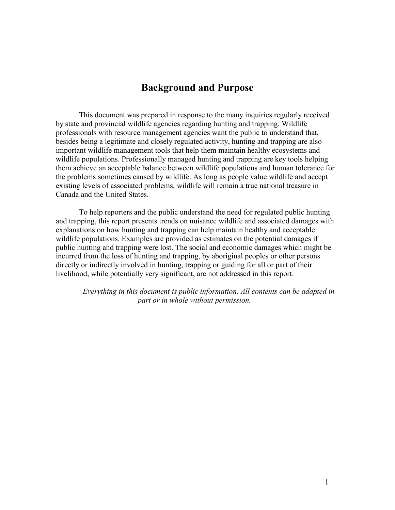# **Background and Purpose**

This document was prepared in response to the many inquiries regularly received by state and provincial wildlife agencies regarding hunting and trapping. Wildlife professionals with resource management agencies want the public to understand that, besides being a legitimate and closely regulated activity, hunting and trapping are also important wildlife management tools that help them maintain healthy ecosystems and wildlife populations. Professionally managed hunting and trapping are key tools helping them achieve an acceptable balance between wildlife populations and human tolerance for the problems sometimes caused by wildlife. As long as people value wildlife and accept existing levels of associated problems, wildlife will remain a true national treasure in Canada and the United States.

To help reporters and the public understand the need for regulated public hunting and trapping, this report presents trends on nuisance wildlife and associated damages with explanations on how hunting and trapping can help maintain healthy and acceptable wildlife populations. Examples are provided as estimates on the potential damages if public hunting and trapping were lost. The social and economic damages which might be incurred from the loss of hunting and trapping, by aboriginal peoples or other persons directly or indirectly involved in hunting, trapping or guiding for all or part of their livelihood, while potentially very significant, are not addressed in this report.

*Everything in this document is public information. All contents can be adapted in part or in whole without permission.*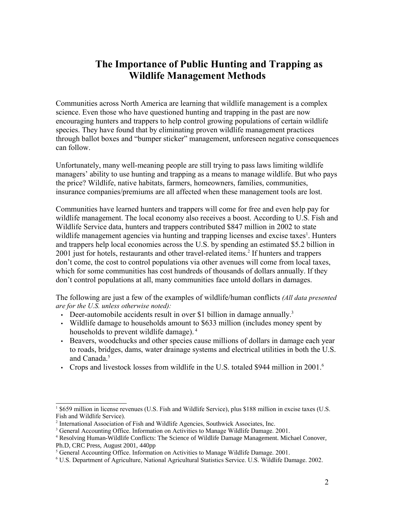# **The Importance of Public Hunting and Trapping as Wildlife Management Methods**

Communities across North America are learning that wildlife management is a complex science. Even those who have questioned hunting and trapping in the past are now encouraging hunters and trappers to help control growing populations of certain wildlife species. They have found that by eliminating proven wildlife management practices through ballot boxes and "bumper sticker" management, unforeseen negative consequences can follow.

Unfortunately, many well-meaning people are still trying to pass laws limiting wildlife managers' ability to use hunting and trapping as a means to manage wildlife. But who pays the price? Wildlife, native habitats, farmers, homeowners, families, communities, insurance companies/premiums are all affected when these management tools are lost.

Communities have learned hunters and trappers will come for free and even help pay for wildlife management. The local economy also receives a boost. According to U.S. Fish and Wildlife Service data, hunters and trappers contributed \$847 million in 2002 to state wildlife management agencies via hunting and trapping licenses and excise taxes<sup>1</sup>. Hunters and trappers help local economies across the U.S. by spending an estimated \$5.2 billion in 2001 just for hotels, restaurants and other travel-related items.<sup>2</sup> If hunters and trappers don't come, the cost to control populations via other avenues will come from local taxes, which for some communities has cost hundreds of thousands of dollars annually. If they don't control populations at all, many communities face untold dollars in damages.

The following are just a few of the examples of wildlife/human conflicts *(All data presented are for the U.S. unless otherwise noted):*

- Deer-automobile accidents result in over \$1 billion in damage annually.<sup>3</sup>
- Wildlife damage to households amount to \$633 million (includes money spent by households to prevent wildlife damage).<sup>4</sup>
- Beavers, woodchucks and other species cause millions of dollars in damage each year to roads, bridges, dams, water drainage systems and electrical utilities in both the U.S. and Canada. 5
- Crops and livestock losses from wildlife in the U.S. totaled \$944 million in 2001.<sup>6</sup>

<sup>1</sup> \$659 million in license revenues (U.S. Fish and Wildlife Service), plus \$188 million in excise taxes (U.S. Fish and Wildlife Service).

<sup>&</sup>lt;sup>2</sup> International Association of Fish and Wildlife Agencies, Southwick Associates, Inc.

<sup>&</sup>lt;sup>3</sup> General Accounting Office. Information on Activities to Manage Wildlife Damage. 2001.

<sup>4</sup> Resolving Human-Wildlife Conflicts: The Science of Wildlife Damage Management. Michael Conover, Ph.D, CRC Press, August 2001, 440pp

<sup>&</sup>lt;sup>5</sup> General Accounting Office. Information on Activities to Manage Wildlife Damage. 2001.

<sup>6</sup> U.S. Department of Agriculture, National Agricultural Statistics Service. U.S. Wildlife Damage. 2002.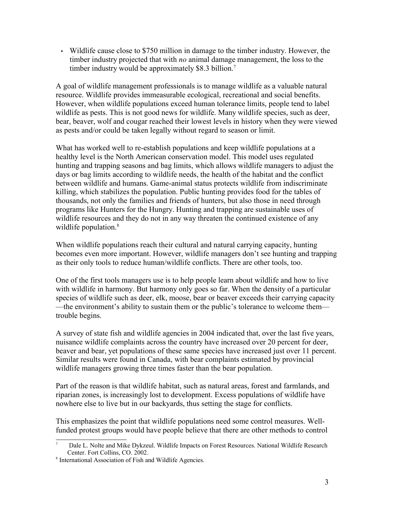• Wildlife cause close to \$750 million in damage to the timber industry. However, the timber industry projected that with *no* animal damage management, the loss to the timber industry would be approximately \$8.3 billion.<sup>7</sup>

A goal of wildlife management professionals is to manage wildlife as a valuable natural resource. Wildlife provides immeasurable ecological, recreational and social benefits. However, when wildlife populations exceed human tolerance limits, people tend to label wildlife as pests. This is not good news for wildlife. Many wildlife species, such as deer, bear, beaver, wolf and cougar reached their lowest levels in history when they were viewed as pests and/or could be taken legally without regard to season or limit.

What has worked well to re-establish populations and keep wildlife populations at a healthy level is the North American conservation model. This model uses regulated hunting and trapping seasons and bag limits, which allows wildlife managers to adjust the days or bag limits according to wildlife needs, the health of the habitat and the conflict between wildlife and humans. Game-animal status protects wildlife from indiscriminate killing, which stabilizes the population. Public hunting provides food for the tables of thousands, not only the families and friends of hunters, but also those in need through programs like Hunters for the Hungry. Hunting and trapping are sustainable uses of wildlife resources and they do not in any way threaten the continued existence of any wildlife population.<sup>8</sup>

When wildlife populations reach their cultural and natural carrying capacity, hunting becomes even more important. However, wildlife managers don't see hunting and trapping as their only tools to reduce human/wildlife conflicts. There are other tools, too.

One of the first tools managers use is to help people learn about wildlife and how to live with wildlife in harmony. But harmony only goes so far. When the density of a particular species of wildlife such as deer, elk, moose, bear or beaver exceeds their carrying capacity —the environment's ability to sustain them or the public's tolerance to welcome them trouble begins.

A survey of state fish and wildlife agencies in 2004 indicated that, over the last five years, nuisance wildlife complaints across the country have increased over 20 percent for deer, beaver and bear, yet populations of these same species have increased just over 11 percent. Similar results were found in Canada, with bear complaints estimated by provincial wildlife managers growing three times faster than the bear population.

Part of the reason is that wildlife habitat, such as natural areas, forest and farmlands, and riparian zones, is increasingly lost to development. Excess populations of wildlife have nowhere else to live but in our backyards, thus setting the stage for conflicts.

This emphasizes the point that wildlife populations need some control measures. Wellfunded protest groups would have people believe that there are other methods to control

<sup>7</sup> Dale L. Nolte and Mike Dykzeul. Wildlife Impacts on Forest Resources. National Wildlife Research Center. Fort Collins, CO. 2002.

<sup>8</sup> International Association of Fish and Wildlife Agencies.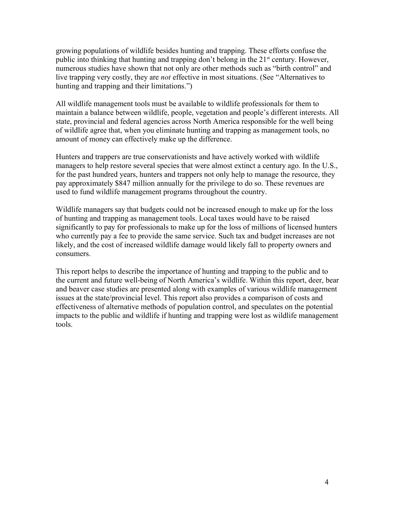growing populations of wildlife besides hunting and trapping. These efforts confuse the public into thinking that hunting and trapping don't belong in the 21<sup>st</sup> century. However, numerous studies have shown that not only are other methods such as "birth control" and live trapping very costly, they are *not* effective in most situations. (See "Alternatives to hunting and trapping and their limitations.")

All wildlife management tools must be available to wildlife professionals for them to maintain a balance between wildlife, people, vegetation and people's different interests. All state, provincial and federal agencies across North America responsible for the well being of wildlife agree that, when you eliminate hunting and trapping as management tools, no amount of money can effectively make up the difference.

Hunters and trappers are true conservationists and have actively worked with wildlife managers to help restore several species that were almost extinct a century ago. In the U.S., for the past hundred years, hunters and trappers not only help to manage the resource, they pay approximately \$847 million annually for the privilege to do so. These revenues are used to fund wildlife management programs throughout the country.

Wildlife managers say that budgets could not be increased enough to make up for the loss of hunting and trapping as management tools. Local taxes would have to be raised significantly to pay for professionals to make up for the loss of millions of licensed hunters who currently pay a fee to provide the same service. Such tax and budget increases are not likely, and the cost of increased wildlife damage would likely fall to property owners and consumers.

This report helps to describe the importance of hunting and trapping to the public and to the current and future well-being of North America's wildlife. Within this report, deer, bear and beaver case studies are presented along with examples of various wildlife management issues at the state/provincial level. This report also provides a comparison of costs and effectiveness of alternative methods of population control, and speculates on the potential impacts to the public and wildlife if hunting and trapping were lost as wildlife management tools.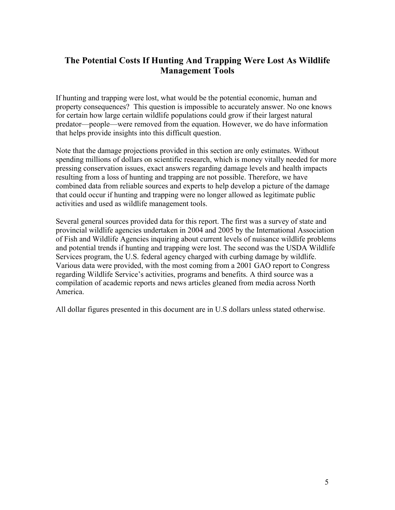# **The Potential Costs If Hunting And Trapping Were Lost As Wildlife Management Tools**

If hunting and trapping were lost, what would be the potential economic, human and property consequences? This question is impossible to accurately answer. No one knows for certain how large certain wildlife populations could grow if their largest natural predator—people—were removed from the equation. However, we do have information that helps provide insights into this difficult question.

Note that the damage projections provided in this section are only estimates. Without spending millions of dollars on scientific research, which is money vitally needed for more pressing conservation issues, exact answers regarding damage levels and health impacts resulting from a loss of hunting and trapping are not possible. Therefore, we have combined data from reliable sources and experts to help develop a picture of the damage that could occur if hunting and trapping were no longer allowed as legitimate public activities and used as wildlife management tools.

Several general sources provided data for this report. The first was a survey of state and provincial wildlife agencies undertaken in 2004 and 2005 by the International Association of Fish and Wildlife Agencies inquiring about current levels of nuisance wildlife problems and potential trends if hunting and trapping were lost. The second was the USDA Wildlife Services program, the U.S. federal agency charged with curbing damage by wildlife. Various data were provided, with the most coming from a 2001 GAO report to Congress regarding Wildlife Service's activities, programs and benefits. A third source was a compilation of academic reports and news articles gleaned from media across North America.

All dollar figures presented in this document are in U.S dollars unless stated otherwise.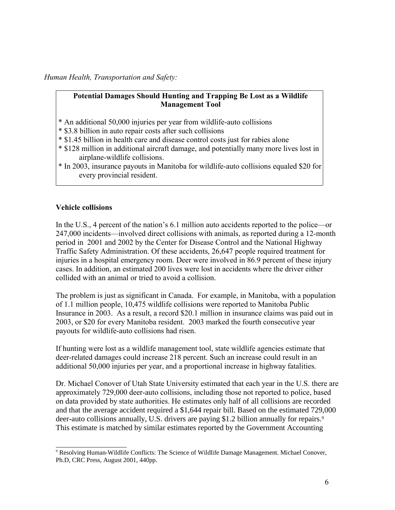#### *Human Health, Transportation and Safety:*

### **Potential Damages Should Hunting and Trapping Be Lost as a Wildlife Management Tool**

- \* An additional 50,000 injuries per year from wildlife-auto collisions
- \* \$3.8 billion in auto repair costs after such collisions
- \* \$1.45 billion in health care and disease control costs just for rabies alone
- \* \$128 million in additional aircraft damage, and potentially many more lives lost in airplane-wildlife collisions.
- \* In 2003, insurance payouts in Manitoba for wildlife-auto collisions equaled \$20 for every provincial resident.

#### **Vehicle collisions**

In the U.S., 4 percent of the nation's 6.1 million auto accidents reported to the police—or 247,000 incidents—involved direct collisions with animals, as reported during a 12-month period in 2001 and 2002 by the Center for Disease Control and the National Highway Traffic Safety Administration. Of these accidents, 26,647 people required treatment for injuries in a hospital emergency room. Deer were involved in 86.9 percent of these injury cases. In addition, an estimated 200 lives were lost in accidents where the driver either collided with an animal or tried to avoid a collision.

The problem is just as significant in Canada. For example, in Manitoba, with a population of 1.1 million people, 10,475 wildlife collisions were reported to Manitoba Public Insurance in 2003. As a result, a record \$20.1 million in insurance claims was paid out in 2003, or \$20 for every Manitoba resident. 2003 marked the fourth consecutive year payouts for wildlife-auto collisions had risen.

If hunting were lost as a wildlife management tool, state wildlife agencies estimate that deer-related damages could increase 218 percent. Such an increase could result in an additional 50,000 injuries per year, and a proportional increase in highway fatalities.

Dr. Michael Conover of Utah State University estimated that each year in the U.S. there are approximately 729,000 deer-auto collisions, including those not reported to police, based on data provided by state authorities. He estimates only half of all collisions are recorded and that the average accident required a \$1,644 repair bill. Based on the estimated 729,000 deer-auto collisions annually, U.S. drivers are paying \$1.2 billion annually for repairs.<sup>9</sup> This estimate is matched by similar estimates reported by the Government Accounting

<sup>9</sup> Resolving Human-Wildlife Conflicts: The Science of Wildlife Damage Management. Michael Conover, Ph.D, CRC Press, August 2001, 440pp.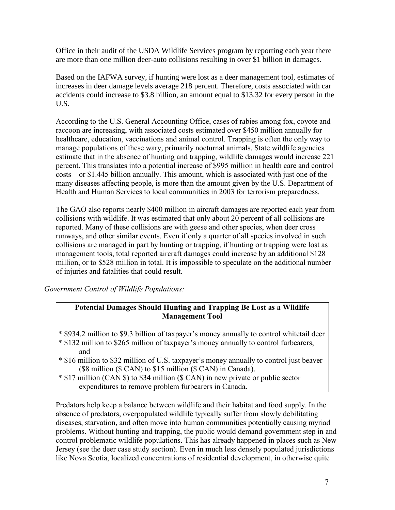Office in their audit of the USDA Wildlife Services program by reporting each year there are more than one million deer-auto collisions resulting in over \$1 billion in damages.

Based on the IAFWA survey, if hunting were lost as a deer management tool, estimates of increases in deer damage levels average 218 percent. Therefore, costs associated with car accidents could increase to \$3.8 billion, an amount equal to \$13.32 for every person in the U.S.

According to the U.S. General Accounting Office, cases of rabies among fox, coyote and raccoon are increasing, with associated costs estimated over \$450 million annually for healthcare, education, vaccinations and animal control. Trapping is often the only way to manage populations of these wary, primarily nocturnal animals. State wildlife agencies estimate that in the absence of hunting and trapping, wildlife damages would increase 221 percent. This translates into a potential increase of \$995 million in health care and control costs—or \$1.445 billion annually. This amount, which is associated with just one of the many diseases affecting people, is more than the amount given by the U.S. Department of Health and Human Services to local communities in 2003 for terrorism preparedness.

The GAO also reports nearly \$400 million in aircraft damages are reported each year from collisions with wildlife. It was estimated that only about 20 percent of all collisions are reported. Many of these collisions are with geese and other species, when deer cross runways, and other similar events. Even if only a quarter of all species involved in such collisions are managed in part by hunting or trapping, if hunting or trapping were lost as management tools, total reported aircraft damages could increase by an additional \$128 million, or to \$528 million in total. It is impossible to speculate on the additional number of injuries and fatalities that could result.

*Government Control of Wildlife Populations:*

### **Potential Damages Should Hunting and Trapping Be Lost as a Wildlife Management Tool**

- \* \$934.2 million to \$9.3 billion of taxpayer's money annually to control whitetail deer
- \* \$132 million to \$265 million of taxpayer's money annually to control furbearers, and
- \* \$16 million to \$32 million of U.S. taxpayer's money annually to control just beaver (\$8 million (\$ CAN) to \$15 million (\$ CAN) in Canada).
- \* \$17 million (CAN \$) to \$34 million (\$ CAN) in new private or public sector expenditures to remove problem furbearers in Canada.

Predators help keep a balance between wildlife and their habitat and food supply. In the absence of predators, overpopulated wildlife typically suffer from slowly debilitating diseases, starvation, and often move into human communities potentially causing myriad problems. Without hunting and trapping, the public would demand government step in and control problematic wildlife populations. This has already happened in places such as New Jersey (see the deer case study section). Even in much less densely populated jurisdictions like Nova Scotia, localized concentrations of residential development, in otherwise quite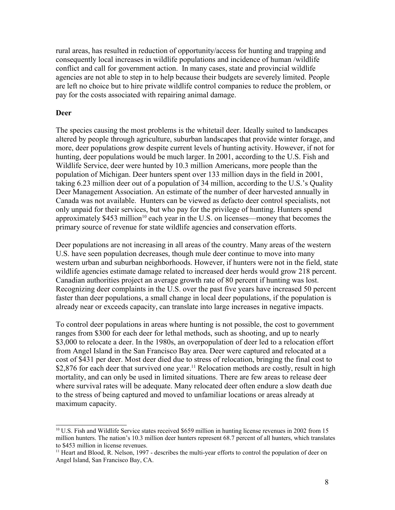rural areas, has resulted in reduction of opportunity/access for hunting and trapping and consequently local increases in wildlife populations and incidence of human /wildlife conflict and call for government action. In many cases, state and provincial wildlife agencies are not able to step in to help because their budgets are severely limited. People are left no choice but to hire private wildlife control companies to reduce the problem, or pay for the costs associated with repairing animal damage.

#### **Deer**

The species causing the most problems is the whitetail deer. Ideally suited to landscapes altered by people through agriculture, suburban landscapes that provide winter forage, and more, deer populations grow despite current levels of hunting activity. However, if not for hunting, deer populations would be much larger. In 2001, according to the U.S. Fish and Wildlife Service, deer were hunted by 10.3 million Americans, more people than the population of Michigan. Deer hunters spent over 133 million days in the field in 2001, taking 6.23 million deer out of a population of 34 million, according to the U.S.'s Quality Deer Management Association. An estimate of the number of deer harvested annually in Canada was not available. Hunters can be viewed as defacto deer control specialists, not only unpaid for their services, but who pay for the privilege of hunting. Hunters spend approximately \$453 million<sup>10</sup> each year in the U.S. on licenses—money that becomes the primary source of revenue for state wildlife agencies and conservation efforts.

Deer populations are not increasing in all areas of the country. Many areas of the western U.S. have seen population decreases, though mule deer continue to move into many western urban and suburban neighborhoods. However, if hunters were not in the field, state wildlife agencies estimate damage related to increased deer herds would grow 218 percent. Canadian authorities project an average growth rate of 80 percent if hunting was lost. Recognizing deer complaints in the U.S. over the past five years have increased 50 percent faster than deer populations, a small change in local deer populations, if the population is already near or exceeds capacity, can translate into large increases in negative impacts.

To control deer populations in areas where hunting is not possible, the cost to government ranges from \$300 for each deer for lethal methods, such as shooting, and up to nearly \$3,000 to relocate a deer. In the 1980s, an overpopulation of deer led to a relocation effort from Angel Island in the San Francisco Bay area. Deer were captured and relocated at a cost of \$431 per deer. Most deer died due to stress of relocation, bringing the final cost to \$2,876 for each deer that survived one year.<sup>11</sup> Relocation methods are costly, result in high mortality, and can only be used in limited situations. There are few areas to release deer where survival rates will be adequate. Many relocated deer often endure a slow death due to the stress of being captured and moved to unfamiliar locations or areas already at maximum capacity.

<sup>&</sup>lt;sup>10</sup> U.S. Fish and Wildlife Service states received \$659 million in hunting license revenues in 2002 from 15 million hunters. The nation's 10.3 million deer hunters represent 68.7 percent of all hunters, which translates to \$453 million in license revenues.

<sup>&</sup>lt;sup>11</sup> Heart and Blood, R. Nelson, 1997 - describes the multi-year efforts to control the population of deer on Angel Island, San Francisco Bay, CA.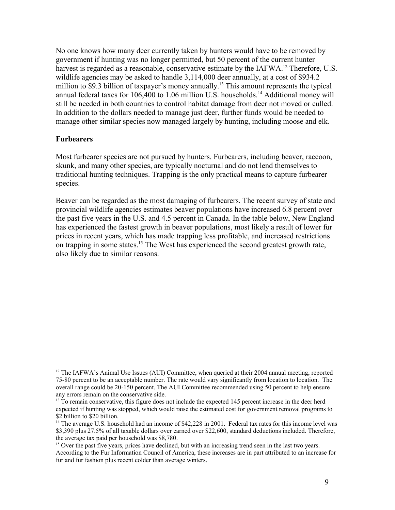No one knows how many deer currently taken by hunters would have to be removed by government if hunting was no longer permitted, but 50 percent of the current hunter harvest is regarded as a reasonable, conservative estimate by the IAFWA.<sup>12</sup> Therefore, U.S. wildlife agencies may be asked to handle 3,114,000 deer annually, at a cost of \$934.2 million to \$9.3 billion of taxpayer's money annually.<sup>13</sup> This amount represents the typical annual federal taxes for 106,400 to 1.06 million U.S. households.<sup>14</sup> Additional money will still be needed in both countries to control habitat damage from deer not moved or culled. In addition to the dollars needed to manage just deer, further funds would be needed to manage other similar species now managed largely by hunting, including moose and elk.

#### **Furbearers**

Most furbearer species are not pursued by hunters. Furbearers, including beaver, raccoon, skunk, and many other species, are typically nocturnal and do not lend themselves to traditional hunting techniques. Trapping is the only practical means to capture furbearer species.

Beaver can be regarded as the most damaging of furbearers. The recent survey of state and provincial wildlife agencies estimates beaver populations have increased 6.8 percent over the past five years in the U.S. and 4.5 percent in Canada. In the table below, New England has experienced the fastest growth in beaver populations, most likely a result of lower fur prices in recent years, which has made trapping less profitable, and increased restrictions on trapping in some states.<sup>15</sup> The West has experienced the second greatest growth rate, also likely due to similar reasons.

<sup>&</sup>lt;sup>12</sup> The IAFWA's Animal Use Issues (AUI) Committee, when queried at their 2004 annual meeting, reported 75-80 percent to be an acceptable number. The rate would vary significantly from location to location. The overall range could be 20-150 percent. The AUI Committee recommended using 50 percent to help ensure any errors remain on the conservative side.

<sup>&</sup>lt;sup>13</sup> To remain conservative, this figure does not include the expected 145 percent increase in the deer herd expected if hunting was stopped, which would raise the estimated cost for government removal programs to \$2 billion to \$20 billion.

<sup>&</sup>lt;sup>14</sup> The average U.S. household had an income of \$42,228 in 2001. Federal tax rates for this income level was \$3,390 plus 27.5% of all taxable dollars over earned over \$22,600, standard deductions included. Therefore, the average tax paid per household was \$8,780.

<sup>&</sup>lt;sup>15</sup> Over the past five years, prices have declined, but with an increasing trend seen in the last two years. According to the Fur Information Council of America, these increases are in part attributed to an increase for fur and fur fashion plus recent colder than average winters.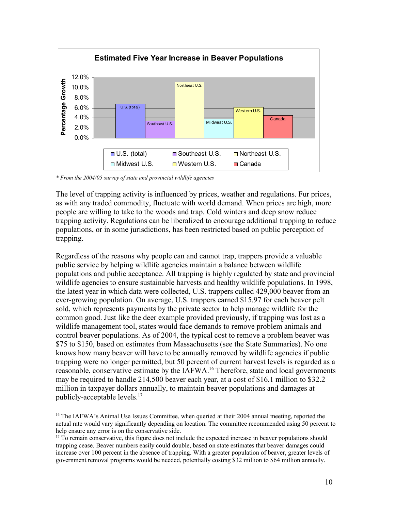

*\* From the 2004/05 survey of state and provincial wildlife agencies*

The level of trapping activity is influenced by prices, weather and regulations. Fur prices, as with any traded commodity, fluctuate with world demand. When prices are high, more people are willing to take to the woods and trap. Cold winters and deep snow reduce trapping activity. Regulations can be liberalized to encourage additional trapping to reduce populations, or in some jurisdictions, has been restricted based on public perception of trapping.

Regardless of the reasons why people can and cannot trap, trappers provide a valuable public service by helping wildlife agencies maintain a balance between wildlife populations and public acceptance. All trapping is highly regulated by state and provincial wildlife agencies to ensure sustainable harvests and healthy wildlife populations. In 1998, the latest year in which data were collected, U.S. trappers culled 429,000 beaver from an ever-growing population. On average, U.S. trappers earned \$15.97 for each beaver pelt sold, which represents payments by the private sector to help manage wildlife for the common good. Just like the deer example provided previously, if trapping was lost as a wildlife management tool, states would face demands to remove problem animals and control beaver populations. As of 2004, the typical cost to remove a problem beaver was \$75 to \$150, based on estimates from Massachusetts (see the State Summaries). No one knows how many beaver will have to be annually removed by wildlife agencies if public trapping were no longer permitted, but 50 percent of current harvest levels is regarded as a reasonable, conservative estimate by the IAFWA.<sup>16</sup> Therefore, state and local governments may be required to handle 214,500 beaver each year, at a cost of \$16.1 million to \$32.2 million in taxpayer dollars annually, to maintain beaver populations and damages at publicly-acceptable levels.<sup>17</sup>

<sup>&</sup>lt;sup>16</sup> The IAFWA's Animal Use Issues Committee, when queried at their 2004 annual meeting, reported the actual rate would vary significantly depending on location. The committee recommended using 50 percent to help ensure any error is on the conservative side.

<sup>&</sup>lt;sup>17</sup> To remain conservative, this figure does not include the expected increase in beaver populations should trapping cease. Beaver numbers easily could double, based on state estimates that beaver damages could increase over 100 percent in the absence of trapping. With a greater population of beaver, greater levels of government removal programs would be needed, potentially costing \$32 million to \$64 million annually.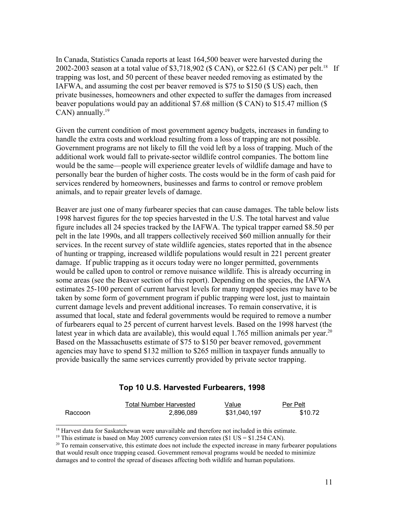In Canada, Statistics Canada reports at least 164,500 beaver were harvested during the 2002-2003 season at a total value of \$3,718,902 (\$ CAN), or \$22.61 (\$ CAN) per pelt.<sup>18</sup> If trapping was lost, and 50 percent of these beaver needed removing as estimated by the IAFWA, and assuming the cost per beaver removed is \$75 to \$150 (\$ US) each, then private businesses, homeowners and other expected to suffer the damages from increased beaver populations would pay an additional \$7.68 million (\$ CAN) to \$15.47 million (\$ CAN) annually. $^{19}$ 

Given the current condition of most government agency budgets, increases in funding to handle the extra costs and workload resulting from a loss of trapping are not possible. Government programs are not likely to fill the void left by a loss of trapping. Much of the additional work would fall to private-sector wildlife control companies. The bottom line would be the same—people will experience greater levels of wildlife damage and have to personally bear the burden of higher costs. The costs would be in the form of cash paid for services rendered by homeowners, businesses and farms to control or remove problem animals, and to repair greater levels of damage.

Beaver are just one of many furbearer species that can cause damages. The table below lists 1998 harvest figures for the top species harvested in the U.S. The total harvest and value figure includes all 24 species tracked by the IAFWA. The typical trapper earned \$8.50 per pelt in the late 1990s, and all trappers collectively received \$60 million annually for their services. In the recent survey of state wildlife agencies, states reported that in the absence of hunting or trapping, increased wildlife populations would result in 221 percent greater damage. If public trapping as it occurs today were no longer permitted, governments would be called upon to control or remove nuisance wildlife. This is already occurring in some areas (see the Beaver section of this report). Depending on the species, the IAFWA estimates 25-100 percent of current harvest levels for many trapped species may have to be taken by some form of government program if public trapping were lost, just to maintain current damage levels and prevent additional increases. To remain conservative, it is assumed that local, state and federal governments would be required to remove a number of furbearers equal to 25 percent of current harvest levels. Based on the 1998 harvest (the latest year in which data are available), this would equal  $1.765$  million animals per year.<sup>20</sup> Based on the Massachusetts estimate of \$75 to \$150 per beaver removed, government agencies may have to spend \$132 million to \$265 million in taxpayer funds annually to provide basically the same services currently provided by private sector trapping.

#### **Top 10 U.S. Harvested Furbearers, 1998**

|         | Total Number Harvested | Value        | Per Pelt |
|---------|------------------------|--------------|----------|
| Raccoon | 2,896,089              | \$31,040,197 | \$10.72  |

<sup>18</sup> Harvest data for Saskatchewan were unavailable and therefore not included in this estimate.

<sup>&</sup>lt;sup>19</sup> This estimate is based on May 2005 currency conversion rates (\$1 US =  $$1.254$  CAN).

<sup>&</sup>lt;sup>20</sup> To remain conservative, this estimate does not include the expected increase in many furbearer populations that would result once trapping ceased. Government removal programs would be needed to minimize damages and to control the spread of diseases affecting both wildlife and human populations.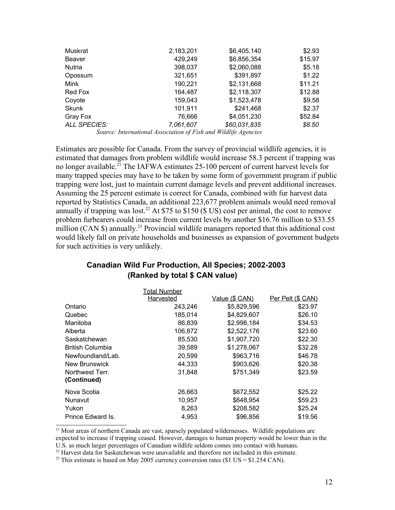| Muskrat             | 2,183,201 | \$6,405,140    | \$2.93  |
|---------------------|-----------|----------------|---------|
| Beaver              | 429,249   | \$6,856,354    | \$15.97 |
| Nutria              | 398,037   | \$2,060,088    | \$5.18  |
| Opossum             | 321,651   | \$391,897      | \$1.22  |
| Mink                | 190,221   | \$2,131,668    | \$11.21 |
| Red Fox             | 164,487   | \$2,118,307    | \$12.88 |
| Coyote              | 159,043   | \$1,523,478    | \$9.58  |
| <b>Skunk</b>        | 101,911   | \$241,468      | \$2.37  |
| Gray Fox            | 76,666    | \$4,051,230    | \$52.84 |
| <b>ALL SPECIES:</b> | 7,061,607 | \$60,031,835   | \$8.50  |
|                     |           | $1$ TIT $11.0$ |         |

*Source: International Association of Fish and Wildlife Agencies*

Estimates are possible for Canada. From the survey of provincial wildlife agencies, it is estimated that damages from problem wildlife would increase 58.3 percent if trapping was no longer available. <sup>21</sup> The IAFWA estimates 25-100 percent of current harvest levels for many trapped species may have to be taken by some form of government program if public trapping were lost, just to maintain current damage levels and prevent additional increases. Assuming the 25 percent estimate is correct for Canada, combined with fur harvest data reported by Statistics Canada, an additional 223,677 problem animals would need removal annually if trapping was lost.<sup>22</sup> At \$75 to \$150 (\$ US) cost per animal, the cost to remove problem furbearers could increase from current levels by another \$16.76 million to \$33.55 million (CAN \$) annually.<sup>23</sup> Provincial wildlife managers reported that this additional cost would likely fall on private households and businesses as expansion of government budgets for such activities is very unlikely.

## **Canadian Wild Fur Production, All Species; 2002-2003 (Ranked by total \$ CAN value)**

|                         | Total Number     |                |                   |
|-------------------------|------------------|----------------|-------------------|
|                         | <b>Harvested</b> | Value (\$ CAN) | Per Pelt (\$ CAN) |
| Ontario                 | 243,246          | \$5,829,596    | \$23.97           |
| Quebec                  | 185,014          | \$4,829,607    | \$26.10           |
| Manitoba                | 86,839           | \$2,998,184    | \$34.53           |
| Alberta                 | 106,872          | \$2,522,176    | \$23.60           |
| Saskatchewan            | 85,530           | \$1,907,720    | \$22.30           |
| <b>British Columbia</b> | 39,589           | \$1,278,067    | \$32.28           |
| Newfoundland/Lab.       | 20,599           | \$963,716      | \$46.78           |
| <b>New Brunswick</b>    | 44,333           | \$903,626      | \$20.38           |
| Northwest Terr.         | 31,848           | \$751,349      | \$23.59           |
| (Continued)             |                  |                |                   |
| Nova Scotia             | 26,663           | \$672,552      | \$25.22           |
| Nunavut                 | 10,957           | \$648,954      | \$59.23           |
| Yukon                   | 8,263            | \$208,582      | \$25.24           |
| Prince Edward Is.       | 4,953            | \$96,856       | \$19.56           |

<sup>21</sup> Most areas of northern Canada are vast, sparsely populated wildernesses. Wildlife populations are expected to increase if trapping ceased. However, damages to human property would be lower than in the U.S. as much larger percentages of Canadian wildlife seldom comes into contact with humans.

<sup>22</sup> Harvest data for Saskatchewan were unavailable and therefore not included in this estimate.

<sup>&</sup>lt;sup>23</sup> This estimate is based on May 2005 currency conversion rates (\$1 US = \$1.254 CAN).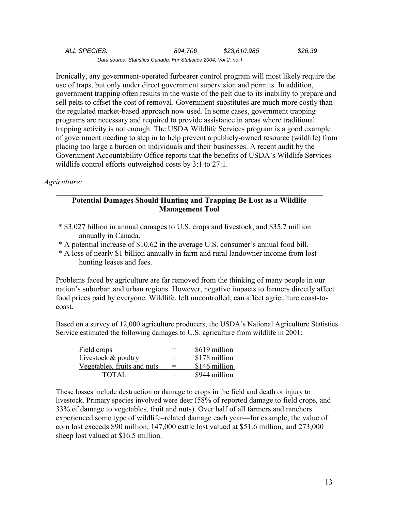| ALL SPECIES:                                                     | 894.706 | \$23,610,985 | \$26.39 |
|------------------------------------------------------------------|---------|--------------|---------|
| Data source: Statistics Canada, Fur Statistics 2004, Vol 2, no.1 |         |              |         |

Ironically, any government-operated furbearer control program will most likely require the use of traps, but only under direct government supervision and permits. In addition, government trapping often results in the waste of the pelt due to its inability to prepare and sell pelts to offset the cost of removal. Government substitutes are much more costly than the regulated market-based approach now used. In some cases, government trapping programs are necessary and required to provide assistance in areas where traditional trapping activity is not enough. The USDA Wildlife Services program is a good example of government needing to step in to help prevent a publicly-owned resource (wildlife) from placing too large a burden on individuals and their businesses. A recent audit by the Government Accountability Office reports that the benefits of USDA's Wildlife Services wildlife control efforts outweighed costs by 3:1 to 27:1.

#### *Agriculture:*

#### **Potential Damages Should Hunting and Trapping Be Lost as a Wildlife Management Tool**

- \* \$3.027 billion in annual damages to U.S. crops and livestock, and \$35.7 million annually in Canada.
- \* A potential increase of \$10.62 in the average U.S. consumer's annual food bill.
- \* A loss of nearly \$1 billion annually in farm and rural landowner income from lost hunting leases and fees.

Problems faced by agriculture are far removed from the thinking of many people in our nation's suburban and urban regions. However, negative impacts to farmers directly affect food prices paid by everyone. Wildlife, left uncontrolled, can affect agriculture coast-tocoast.

Based on a survey of 12,000 agriculture producers, the USDA's National Agriculture Statistics Service estimated the following damages to U.S. agriculture from wildlife in 2001:

| Field crops                 | $=$ | \$619 million |
|-----------------------------|-----|---------------|
| Livestock & poultry         | $=$ | \$178 million |
| Vegetables, fruits and nuts | $=$ | \$146 million |
| TOTAL                       | $=$ | \$944 million |

These losses include destruction or damage to crops in the field and death or injury to livestock. Primary species involved were deer (58% of reported damage to field crops, and 33% of damage to vegetables, fruit and nuts). Over half of all farmers and ranchers experienced some type of wildlife–related damage each year—for example, the value of corn lost exceeds \$90 million, 147,000 cattle lost valued at \$51.6 million, and 273,000 sheep lost valued at \$16.5 million.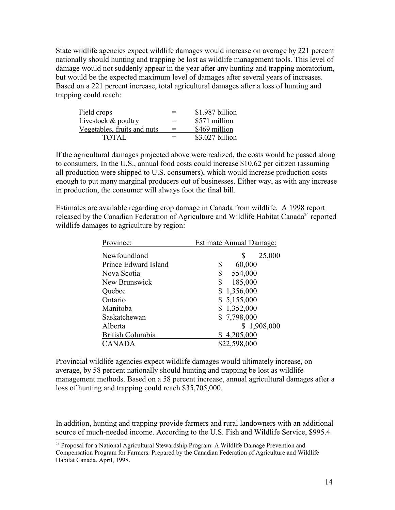State wildlife agencies expect wildlife damages would increase on average by 221 percent nationally should hunting and trapping be lost as wildlife management tools. This level of damage would not suddenly appear in the year after any hunting and trapping moratorium, but would be the expected maximum level of damages after several years of increases. Based on a 221 percent increase, total agricultural damages after a loss of hunting and trapping could reach:

| Field crops                 | $=$ | \$1.987 billion |
|-----------------------------|-----|-----------------|
| Livestock & poultry         | $=$ | \$571 million   |
| Vegetables, fruits and nuts | $=$ | \$469 million   |
| TOTAL                       | $=$ | \$3.027 billion |

If the agricultural damages projected above were realized, the costs would be passed along to consumers. In the U.S., annual food costs could increase \$10.62 per citizen (assuming all production were shipped to U.S. consumers), which would increase production costs enough to put many marginal producers out of businesses. Either way, as with any increase in production, the consumer will always foot the final bill.

Estimates are available regarding crop damage in Canada from wildlife. A 1998 report released by the Canadian Federation of Agriculture and Wildlife Habitat Canada<sup>24</sup> reported wildlife damages to agriculture by region:

| Province:               | <b>Estimate Annual Damage:</b> |  |  |
|-------------------------|--------------------------------|--|--|
| Newfoundland            | 25,000                         |  |  |
| Prince Edward Island    | 60,000<br>\$                   |  |  |
| Nova Scotia             | \$<br>554,000                  |  |  |
| New Brunswick           | 185,000<br>\$                  |  |  |
| Quebec                  | \$1,356,000                    |  |  |
| Ontario                 | \$5,155,000                    |  |  |
| Manitoba                | \$1,352,000                    |  |  |
| Saskatchewan            | \$7,798,000                    |  |  |
| Alberta                 | \$1,908,000                    |  |  |
| <b>British Columbia</b> | \$4,205,000                    |  |  |
| <b>CANADA</b>           | \$22,598,000                   |  |  |

Provincial wildlife agencies expect wildlife damages would ultimately increase, on average, by 58 percent nationally should hunting and trapping be lost as wildlife management methods. Based on a 58 percent increase, annual agricultural damages after a loss of hunting and trapping could reach \$35,705,000.

In addition, hunting and trapping provide farmers and rural landowners with an additional source of much-needed income. According to the U.S. Fish and Wildlife Service, \$995.4

<sup>&</sup>lt;sup>24</sup> Proposal for a National Agricultural Stewardship Program: A Wildlife Damage Prevention and Compensation Program for Farmers. Prepared by the Canadian Federation of Agriculture and Wildlife Habitat Canada. April, 1998.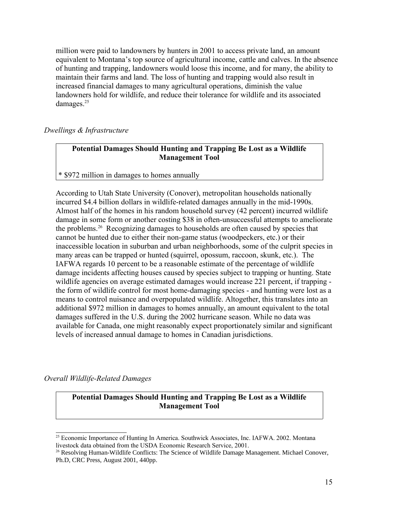million were paid to landowners by hunters in 2001 to access private land, an amount equivalent to Montana's top source of agricultural income, cattle and calves. In the absence of hunting and trapping, landowners would loose this income, and for many, the ability to maintain their farms and land. The loss of hunting and trapping would also result in increased financial damages to many agricultural operations, diminish the value landowners hold for wildlife, and reduce their tolerance for wildlife and its associated damages.<sup>25</sup>

### *Dwellings & Infrastructure*

#### **Potential Damages Should Hunting and Trapping Be Lost as a Wildlife Management Tool**

#### \* \$972 million in damages to homes annually

According to Utah State University (Conover), metropolitan households nationally incurred \$4.4 billion dollars in wildlife-related damages annually in the mid-1990s. Almost half of the homes in his random household survey (42 percent) incurred wildlife damage in some form or another costing \$38 in often-unsuccessful attempts to ameliorate the problems.<sup>26</sup> Recognizing damages to households are often caused by species that cannot be hunted due to either their non-game status (woodpeckers, etc.) or their inaccessible location in suburban and urban neighborhoods, some of the culprit species in many areas can be trapped or hunted (squirrel, opossum, raccoon, skunk, etc.). The IAFWA regards 10 percent to be a reasonable estimate of the percentage of wildlife damage incidents affecting houses caused by species subject to trapping or hunting. State wildlife agencies on average estimated damages would increase 221 percent, if trapping the form of wildlife control for most home-damaging species - and hunting were lost as a means to control nuisance and overpopulated wildlife. Altogether, this translates into an additional \$972 million in damages to homes annually, an amount equivalent to the total damages suffered in the U.S. during the 2002 hurricane season. While no data was available for Canada, one might reasonably expect proportionately similar and significant levels of increased annual damage to homes in Canadian jurisdictions.

*Overall Wildlife-Related Damages*

### **Potential Damages Should Hunting and Trapping Be Lost as a Wildlife Management Tool**

<sup>&</sup>lt;sup>25</sup> Economic Importance of Hunting In America. Southwick Associates, Inc. IAFWA. 2002. Montana livestock data obtained from the USDA Economic Research Service, 2001.

<sup>&</sup>lt;sup>26</sup> Resolving Human-Wildlife Conflicts: The Science of Wildlife Damage Management. Michael Conover, Ph.D, CRC Press, August 2001, 440pp.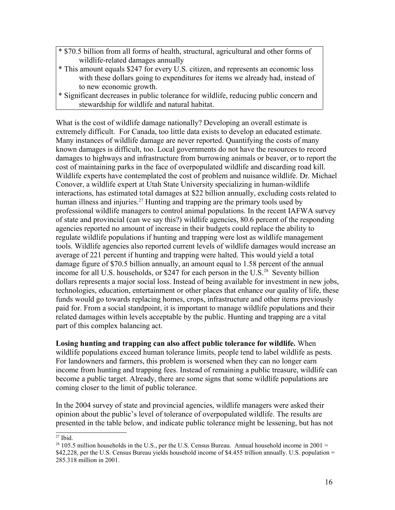- \* \$70.5 billion from all forms of health, structural, agricultural and other forms of wildlife-related damages annually
- \* This amount equals \$247 for every U.S. citizen, and represents an economic loss with these dollars going to expenditures for items we already had, instead of to new economic growth.
- \* Significant decreases in public tolerance for wildlife, reducing public concern and stewardship for wildlife and natural habitat.

What is the cost of wildlife damage nationally? Developing an overall estimate is extremely difficult. For Canada, too little data exists to develop an educated estimate. Many instances of wildlife damage are never reported. Quantifying the costs of many known damages is difficult, too. Local governments do not have the resources to record damages to highways and infrastructure from burrowing animals or beaver, or to report the cost of maintaining parks in the face of overpopulated wildlife and discarding road kill. Wildlife experts have contemplated the cost of problem and nuisance wildlife. Dr. Michael Conover, a wildlife expert at Utah State University specializing in human-wildlife interactions, has estimated total damages at \$22 billion annually, excluding costs related to human illness and injuries.<sup>27</sup> Hunting and trapping are the primary tools used by professional wildlife managers to control animal populations. In the recent IAFWA survey of state and provincial (can we say this?) wildlife agencies, 80.6 percent of the responding agencies reported no amount of increase in their budgets could replace the ability to regulate wildlife populations if hunting and trapping were lost as wildlife management tools. Wildlife agencies also reported current levels of wildlife damages would increase an average of 221 percent if hunting and trapping were halted. This would yield a total damage figure of \$70.5 billion annually, an amount equal to 1.58 percent of the annual income for all U.S. households, or \$247 for each person in the U.S.<sup>28</sup> Seventy billion dollars represents a major social loss. Instead of being available for investment in new jobs, technologies, education, entertainment or other places that enhance our quality of life, these funds would go towards replacing homes, crops, infrastructure and other items previously paid for. From a social standpoint, it is important to manage wildlife populations and their related damages within levels acceptable by the public. Hunting and trapping are a vital part of this complex balancing act.

**Losing hunting and trapping can also affect public tolerance for wildlife.** When wildlife populations exceed human tolerance limits, people tend to label wildlife as pests. For landowners and farmers, this problem is worsened when they can no longer earn income from hunting and trapping fees. Instead of remaining a public treasure, wildlife can become a public target. Already, there are some signs that some wildlife populations are coming closer to the limit of public tolerance.

In the 2004 survey of state and provincial agencies, wildlife managers were asked their opinion about the public's level of tolerance of overpopulated wildlife. The results are presented in the table below, and indicate public tolerance might be lessening, but has not

 $27$  Ibid.

 $28$  105.5 million households in the U.S., per the U.S. Census Bureau. Annual household income in 2001 = \$42,228, per the U.S. Census Bureau yields household income of \$4.455 trillion annually. U.S. population = 285.318 million in 2001.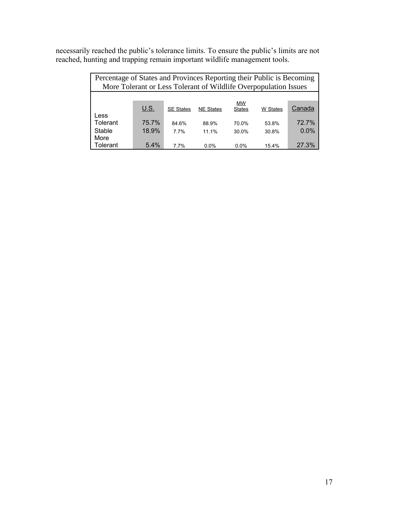necessarily reached the public's tolerance limits. To ensure the public's limits are not reached, hunting and trapping remain important wildlife management tools.

| Percentage of States and Provinces Reporting their Public is Becoming |                                                                  |                  |                  |                            |          |         |
|-----------------------------------------------------------------------|------------------------------------------------------------------|------------------|------------------|----------------------------|----------|---------|
|                                                                       | More Tolerant or Less Tolerant of Wildlife Overpopulation Issues |                  |                  |                            |          |         |
|                                                                       |                                                                  |                  |                  |                            |          |         |
| Less                                                                  | <u>U.S.</u>                                                      | <b>SE States</b> | <b>NE States</b> | <b>MW</b><br><b>States</b> | W States | Canada  |
| Tolerant                                                              | 75.7%                                                            | 84.6%            | 88.9%            | 70.0%                      | 53.8%    | 72.7%   |
| Stable                                                                | 18.9%                                                            | 7.7%             | 11.1%            | 30.0%                      | 30.8%    | $0.0\%$ |
| More<br>Tolerant                                                      | 5.4%                                                             | 77%              | 0.0%             | $0.0\%$                    | 15.4%    | 27.3%   |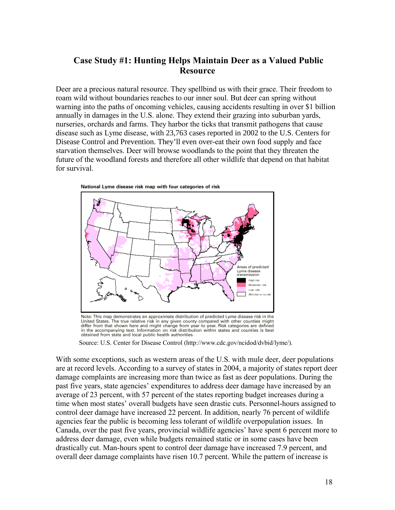# **Case Study #1: Hunting Helps Maintain Deer as a Valued Public Resource**

Deer are a precious natural resource. They spellbind us with their grace. Their freedom to roam wild without boundaries reaches to our inner soul. But deer can spring without warning into the paths of oncoming vehicles, causing accidents resulting in over \$1 billion annually in damages in the U.S. alone. They extend their grazing into suburban yards, nurseries, orchards and farms. They harbor the ticks that transmit pathogens that cause disease such as Lyme disease, with 23,763 cases reported in 2002 to the U.S. Centers for Disease Control and Prevention. They'll even over-eat their own food supply and face starvation themselves. Deer will browse woodlands to the point that they threaten the future of the woodland forests and therefore all other wildlife that depend on that habitat for survival.



Note: This map demonstrates an approximate distribution of predicted Lyme disease risk in the United States. The true relative risk in any given county compared with other counties might differ from that shown here and might change from year to year. Risk categories are defined in the accompanying text. Information on risk distribution within states and counties is best obtained from state and local public health authorities.

Source: U.S. Center for Disease Control (http://www.cdc.gov/ncidod/dvbid/lyme/).

With some exceptions, such as western areas of the U.S. with mule deer, deer populations are at record levels. According to a survey of states in 2004, a majority of states report deer damage complaints are increasing more than twice as fast as deer populations. During the past five years, state agencies' expenditures to address deer damage have increased by an average of 23 percent, with 57 percent of the states reporting budget increases during a time when most states' overall budgets have seen drastic cuts. Personnel-hours assigned to control deer damage have increased 22 percent. In addition, nearly 76 percent of wildlife agencies fear the public is becoming less tolerant of wildlife overpopulation issues. In Canada, over the past five years, provincial wildlife agencies' have spent 6 percent more to address deer damage, even while budgets remained static or in some cases have been drastically cut. Man-hours spent to control deer damage have increased 7.9 percent, and overall deer damage complaints have risen 10.7 percent. While the pattern of increase is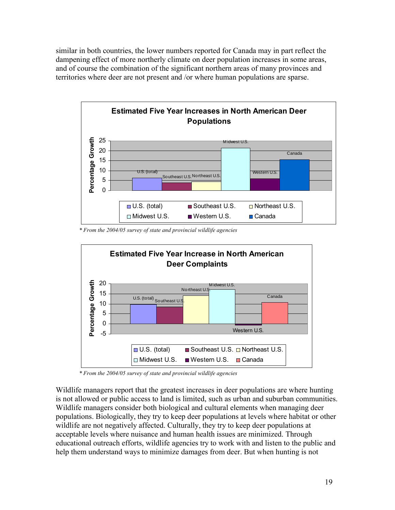similar in both countries, the lower numbers reported for Canada may in part reflect the dampening effect of more northerly climate on deer population increases in some areas, and of course the combination of the significant northern areas of many provinces and territories where deer are not present and /or where human populations are sparse.



*\* From the 2004/05 survey of state and provincial wildlife agencies*



*\* From the 2004/05 survey of state and provincial wildlife agencies*

Wildlife managers report that the greatest increases in deer populations are where hunting is not allowed or public access to land is limited, such as urban and suburban communities. Wildlife managers consider both biological and cultural elements when managing deer populations. Biologically, they try to keep deer populations at levels where habitat or other wildlife are not negatively affected. Culturally, they try to keep deer populations at acceptable levels where nuisance and human health issues are minimized. Through educational outreach efforts, wildlife agencies try to work with and listen to the public and help them understand ways to minimize damages from deer. But when hunting is not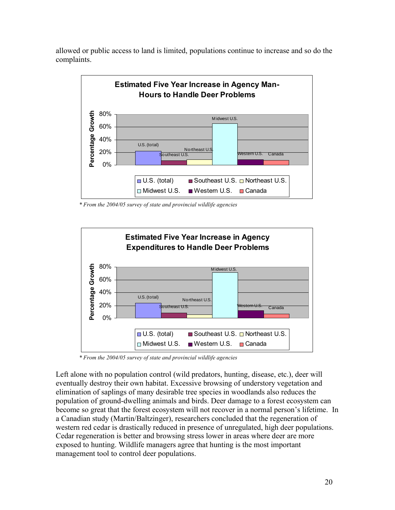allowed or public access to land is limited, populations continue to increase and so do the complaints.



*\* From the 2004/05 survey of state and provincial wildlife agencies*



*\* From the 2004/05 survey of state and provincial wildlife agencies*

Left alone with no population control (wild predators, hunting, disease, etc.), deer will eventually destroy their own habitat. Excessive browsing of understory vegetation and elimination of saplings of many desirable tree species in woodlands also reduces the population of ground-dwelling animals and birds. Deer damage to a forest ecosystem can become so great that the forest ecosystem will not recover in a normal person's lifetime. In a Canadian study (Martin/Baltzinger), researchers concluded that the regeneration of western red cedar is drastically reduced in presence of unregulated, high deer populations. Cedar regeneration is better and browsing stress lower in areas where deer are more exposed to hunting. Wildlife managers agree that hunting is the most important management tool to control deer populations.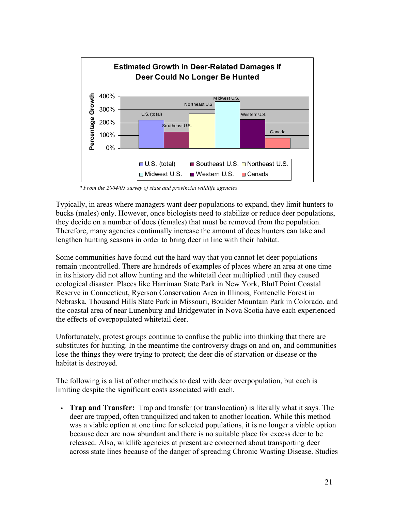

*\* From the 2004/05 survey of state and provincial wildlife agencies*

Typically, in areas where managers want deer populations to expand, they limit hunters to bucks (males) only. However, once biologists need to stabilize or reduce deer populations, they decide on a number of does (females) that must be removed from the population. Therefore, many agencies continually increase the amount of does hunters can take and lengthen hunting seasons in order to bring deer in line with their habitat.

Some communities have found out the hard way that you cannot let deer populations remain uncontrolled. There are hundreds of examples of places where an area at one time in its history did not allow hunting and the whitetail deer multiplied until they caused ecological disaster. Places like Harriman State Park in New York, Bluff Point Coastal Reserve in Connecticut, Ryerson Conservation Area in Illinois, Fontenelle Forest in Nebraska, Thousand Hills State Park in Missouri, Boulder Mountain Park in Colorado, and the coastal area of near Lunenburg and Bridgewater in Nova Scotia have each experienced the effects of overpopulated whitetail deer.

Unfortunately, protest groups continue to confuse the public into thinking that there are substitutes for hunting. In the meantime the controversy drags on and on, and communities lose the things they were trying to protect; the deer die of starvation or disease or the habitat is destroyed.

The following is a list of other methods to deal with deer overpopulation, but each is limiting despite the significant costs associated with each.

• **Trap and Transfer:** Trap and transfer (or translocation) is literally what it says. The deer are trapped, often tranquilized and taken to another location. While this method was a viable option at one time for selected populations, it is no longer a viable option because deer are now abundant and there is no suitable place for excess deer to be released. Also, wildlife agencies at present are concerned about transporting deer across state lines because of the danger of spreading Chronic Wasting Disease. Studies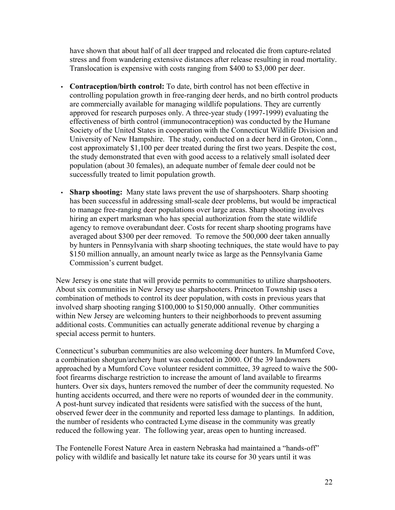have shown that about half of all deer trapped and relocated die from capture-related stress and from wandering extensive distances after release resulting in road mortality. Translocation is expensive with costs ranging from \$400 to \$3,000 per deer.

- **Contraception/birth control:** To date, birth control has not been effective in controlling population growth in free-ranging deer herds, and no birth control products are commercially available for managing wildlife populations. They are currently approved for research purposes only. A three-year study (1997-1999) evaluating the effectiveness of birth control (immunocontraception) was conducted by the Humane Society of the United States in cooperation with the Connecticut Wildlife Division and University of New Hampshire. The study, conducted on a deer herd in Groton, Conn., cost approximately \$1,100 per deer treated during the first two years. Despite the cost, the study demonstrated that even with good access to a relatively small isolated deer population (about 30 females), an adequate number of female deer could not be successfully treated to limit population growth.
- **Sharp shooting:** Many state laws prevent the use of sharpshooters. Sharp shooting has been successful in addressing small-scale deer problems, but would be impractical to manage free-ranging deer populations over large areas. Sharp shooting involves hiring an expert marksman who has special authorization from the state wildlife agency to remove overabundant deer. Costs for recent sharp shooting programs have averaged about \$300 per deer removed. To remove the 500,000 deer taken annually by hunters in Pennsylvania with sharp shooting techniques, the state would have to pay \$150 million annually, an amount nearly twice as large as the Pennsylvania Game Commission's current budget.

New Jersey is one state that will provide permits to communities to utilize sharpshooters. About six communities in New Jersey use sharpshooters. Princeton Township uses a combination of methods to control its deer population, with costs in previous years that involved sharp shooting ranging \$100,000 to \$150,000 annually. Other communities within New Jersey are welcoming hunters to their neighborhoods to prevent assuming additional costs. Communities can actually generate additional revenue by charging a special access permit to hunters.

Connecticut's suburban communities are also welcoming deer hunters. In Mumford Cove, a combination shotgun/archery hunt was conducted in 2000. Of the 39 landowners approached by a Mumford Cove volunteer resident committee, 39 agreed to waive the 500 foot firearms discharge restriction to increase the amount of land available to firearms hunters. Over six days, hunters removed the number of deer the community requested. No hunting accidents occurred, and there were no reports of wounded deer in the community. A post-hunt survey indicated that residents were satisfied with the success of the hunt, observed fewer deer in the community and reported less damage to plantings. In addition, the number of residents who contracted Lyme disease in the community was greatly reduced the following year. The following year, areas open to hunting increased.

The Fontenelle Forest Nature Area in eastern Nebraska had maintained a "hands-off" policy with wildlife and basically let nature take its course for 30 years until it was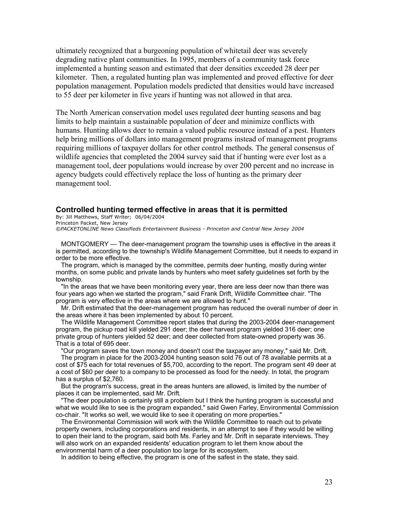ultimately recognized that a burgeoning population of whitetail deer was severely degrading native plant communities. In 1995, members of a community task force implemented a hunting season and estimated that deer densities exceeded 28 deer per kilometer. Then, a regulated hunting plan was implemented and proved effective for deer population management. Population models predicted that densities would have increased to 55 deer per kilometer in five years if hunting was not allowed in that area.

The North American conservation model uses regulated deer hunting seasons and bag limits to help maintain a sustainable population of deer and minimize conflicts with humans. Hunting allows deer to remain a valued public resource instead of a pest. Hunters help bring millions of dollars into management programs instead of management programs requiring millions of taxpayer dollars for other control methods. The general consensus of wildlife agencies that completed the 2004 survey said that if hunting were ever lost as a management tool, deer populations would increase by over 200 percent and no increase in agency budgets could effectively replace the loss of hunting as the primary deer management tool.

#### **Controlled hunting termed effective in areas that it is permitted**

By: Jill Matthews, Staff Writer; 06/04/2004 Princeton Packet, New Jersey

*©PACKETONLINE News Classifieds Entertainment Business - Princeton and Central New Jersey 2004*

MONTGOMERY — The deer-management program the township uses is effective in the areas it is permitted, according to the township's Wildlife Management Committee, but it needs to expand in order to be more effective.

The program, which is managed by the committee, permits deer hunting, mostly during winter months, on some public and private lands by hunters who meet safety guidelines set forth by the township.

"In the areas that we have been monitoring every year, there are less deer now than there was four years ago when we started the program," said Frank Drift, Wildlife Committee chair. "The program is very effective in the areas where we are allowed to hunt."

Mr. Drift estimated that the deer-management program has reduced the overall number of deer in the areas where it has been implemented by about 10 percent.

The Wildlife Management Committee report states that during the 2003-2004 deer-management program, the pickup road kill yielded 291 deer; the deer harvest program yielded 316 deer; one private group of hunters yielded 52 deer; and deer collected from state-owned property was 36. That is a total of 695 deer.

"Our program saves the town money and doesn't cost the taxpayer any money," said Mr. Drift.

The program in place for the 2003-2004 hunting season sold 76 out of 78 available permits at a cost of \$75 each for total revenues of \$5,700, according to the report. The program sent 49 deer at a cost of \$60 per deer to a company to be processed as food for the needy. In total, the program has a surplus of \$2,760.

But the program's success, great in the areas hunters are allowed, is limited by the number of places it can be implemented, said Mr. Drift.

"The deer population is certainly still a problem but I think the hunting program is successful and what we would like to see is the program expanded," said Gwen Farley, Environmental Commission co-chair. "It works so well, we would like to see it operating on more properties."

The Environmental Commission will work with the Wildlife Committee to reach out to private property owners, including corporations and residents, in an attempt to see if they would be willing to open their land to the program, said both Ms. Farley and Mr. Drift in separate interviews. They will also work on an expanded residents' education program to let them know about the environmental harm of a deer population too large for its ecosystem.

In addition to being effective, the program is one of the safest in the state, they said.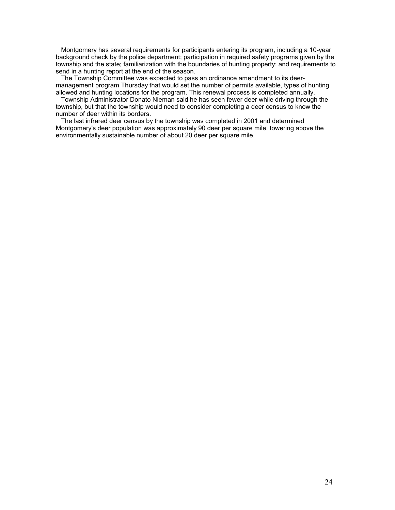Montgomery has several requirements for participants entering its program, including a 10-year background check by the police department; participation in required safety programs given by the township and the state; familiarization with the boundaries of hunting property; and requirements to send in a hunting report at the end of the season.

The Township Committee was expected to pass an ordinance amendment to its deermanagement program Thursday that would set the number of permits available, types of hunting allowed and hunting locations for the program. This renewal process is completed annually.

Township Administrator Donato Nieman said he has seen fewer deer while driving through the township, but that the township would need to consider completing a deer census to know the number of deer within its borders.

The last infrared deer census by the township was completed in 2001 and determined Montgomery's deer population was approximately 90 deer per square mile, towering above the environmentally sustainable number of about 20 deer per square mile.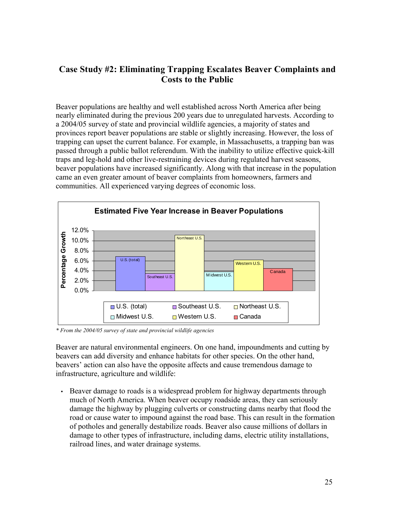# **Case Study #2: Eliminating Trapping Escalates Beaver Complaints and Costs to the Public**

Beaver populations are healthy and well established across North America after being nearly eliminated during the previous 200 years due to unregulated harvests. According to a 2004/05 survey of state and provincial wildlife agencies, a majority of states and provinces report beaver populations are stable or slightly increasing. However, the loss of trapping can upset the current balance. For example, in Massachusetts, a trapping ban was passed through a public ballot referendum. With the inability to utilize effective quick-kill traps and leg-hold and other live-restraining devices during regulated harvest seasons, beaver populations have increased significantly. Along with that increase in the population came an even greater amount of beaver complaints from homeowners, farmers and communities. All experienced varying degrees of economic loss.



*\* From the 2004/05 survey of state and provincial wildlife agencies*

Beaver are natural environmental engineers. On one hand, impoundments and cutting by beavers can add diversity and enhance habitats for other species. On the other hand, beavers' action can also have the opposite affects and cause tremendous damage to infrastructure, agriculture and wildlife:

• Beaver damage to roads is a widespread problem for highway departments through much of North America. When beaver occupy roadside areas, they can seriously damage the highway by plugging culverts or constructing dams nearby that flood the road or cause water to impound against the road base. This can result in the formation of potholes and generally destabilize roads. Beaver also cause millions of dollars in damage to other types of infrastructure, including dams, electric utility installations, railroad lines, and water drainage systems.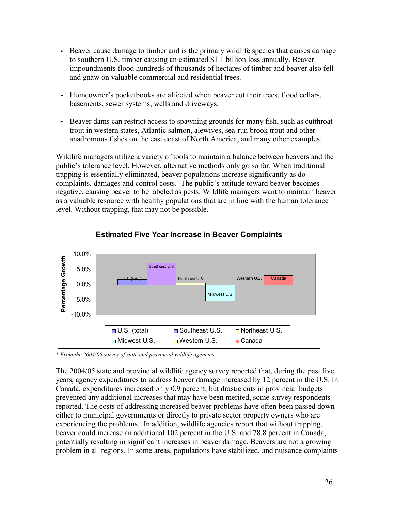- Beaver cause damage to timber and is the primary wildlife species that causes damage to southern U.S. timber causing an estimated \$1.1 billion loss annually. Beaver impoundments flood hundreds of thousands of hectares of timber and beaver also fell and gnaw on valuable commercial and residential trees.
- Homeowner's pocketbooks are affected when beaver cut their trees, flood cellars, basements, sewer systems, wells and driveways.
- Beaver dams can restrict access to spawning grounds for many fish, such as cutthroat trout in western states, Atlantic salmon, alewives, sea-run brook trout and other anadromous fishes on the east coast of North America, and many other examples.

Wildlife managers utilize a variety of tools to maintain a balance between beavers and the public's tolerance level. However, alternative methods only go so far. When traditional trapping is essentially eliminated, beaver populations increase significantly as do complaints, damages and control costs. The public's attitude toward beaver becomes negative, causing beaver to be labeled as pests. Wildlife managers want to maintain beaver as a valuable resource with healthy populations that are in line with the human tolerance level. Without trapping, that may not be possible.



*\* From the 2004/05 survey of state and provincial wildlife agencies*

The 2004/05 state and provincial wildlife agency survey reported that, during the past five years, agency expenditures to address beaver damage increased by 12 percent in the U.S. In Canada, expenditures increased only 0.9 percent, but drastic cuts in provincial budgets prevented any additional increases that may have been merited, some survey respondents reported. The costs of addressing increased beaver problems have often been passed down either to municipal governments or directly to private sector property owners who are experiencing the problems. In addition, wildlife agencies report that without trapping, beaver could increase an additional 102 percent in the U.S. and 78.8 percent in Canada, potentially resulting in significant increases in beaver damage. Beavers are not a growing problem in all regions. In some areas, populations have stabilized, and nuisance complaints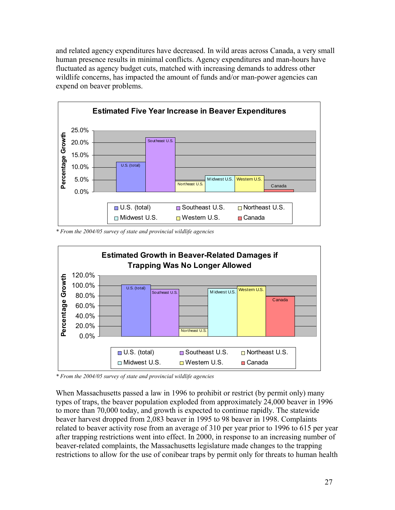and related agency expenditures have decreased. In wild areas across Canada, a very small human presence results in minimal conflicts. Agency expenditures and man-hours have fluctuated as agency budget cuts, matched with increasing demands to address other wildlife concerns, has impacted the amount of funds and/or man-power agencies can expend on beaver problems.



*\* From the 2004/05 survey of state and provincial wildlife agencies*



*\* From the 2004/05 survey of state and provincial wildlife agencies*

When Massachusetts passed a law in 1996 to prohibit or restrict (by permit only) many types of traps, the beaver population exploded from approximately 24,000 beaver in 1996 to more than 70,000 today, and growth is expected to continue rapidly. The statewide beaver harvest dropped from 2,083 beaver in 1995 to 98 beaver in 1998. Complaints related to beaver activity rose from an average of 310 per year prior to 1996 to 615 per year after trapping restrictions went into effect. In 2000, in response to an increasing number of beaver-related complaints, the Massachusetts legislature made changes to the trapping restrictions to allow for the use of conibear traps by permit only for threats to human health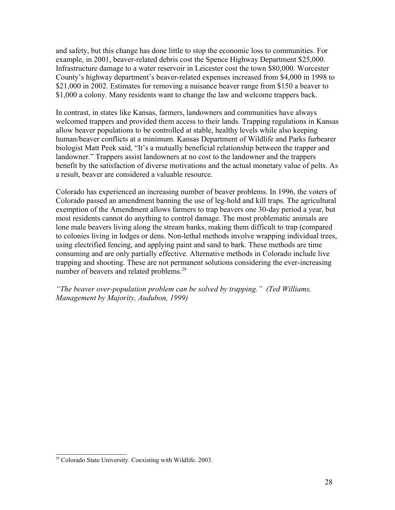and safety, but this change has done little to stop the economic loss to communities. For example, in 2001, beaver-related debris cost the Spence Highway Department \$25,000. Infrastructure damage to a water reservoir in Leicester cost the town \$80,000. Worcester County's highway department's beaver-related expenses increased from \$4,000 in 1998 to \$21,000 in 2002. Estimates for removing a nuisance beaver range from \$150 a beaver to \$1,000 a colony. Many residents want to change the law and welcome trappers back.

In contrast, in states like Kansas, farmers, landowners and communities have always welcomed trappers and provided them access to their lands. Trapping regulations in Kansas allow beaver populations to be controlled at stable, healthy levels while also keeping human/beaver conflicts at a minimum. Kansas Department of Wildlife and Parks furbearer biologist Matt Peek said, "It's a mutually beneficial relationship between the trapper and landowner." Trappers assist landowners at no cost to the landowner and the trappers benefit by the satisfaction of diverse motivations and the actual monetary value of pelts. As a result, beaver are considered a valuable resource.

Colorado has experienced an increasing number of beaver problems. In 1996, the voters of Colorado passed an amendment banning the use of leg-hold and kill traps. The agricultural exemption of the Amendment allows farmers to trap beavers one 30-day period a year, but most residents cannot do anything to control damage. The most problematic animals are lone male beavers living along the stream banks, making them difficult to trap (compared to colonies living in lodges or dens. Non-lethal methods involve wrapping individual trees, using electrified fencing, and applying paint and sand to bark. These methods are time consuming and are only partially effective. Alternative methods in Colorado include live trapping and shooting. These are not permanent solutions considering the ever-increasing number of beavers and related problems.<sup>29</sup>

*"The beaver over-population problem can be solved by trapping." (Ted Williams, Management by Majority, Audubon, 1999)* 

<sup>&</sup>lt;sup>29</sup> Colorado State University. Coexisting with Wildlife. 2003.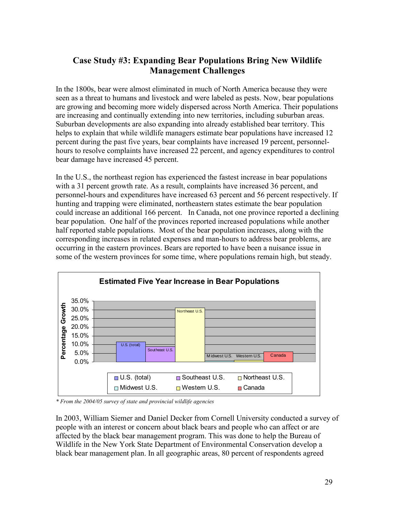# **Case Study #3: Expanding Bear Populations Bring New Wildlife Management Challenges**

In the 1800s, bear were almost eliminated in much of North America because they were seen as a threat to humans and livestock and were labeled as pests. Now, bear populations are growing and becoming more widely dispersed across North America. Their populations are increasing and continually extending into new territories, including suburban areas. Suburban developments are also expanding into already established bear territory. This helps to explain that while wildlife managers estimate bear populations have increased 12 percent during the past five years, bear complaints have increased 19 percent, personnelhours to resolve complaints have increased 22 percent, and agency expenditures to control bear damage have increased 45 percent.

In the U.S., the northeast region has experienced the fastest increase in bear populations with a 31 percent growth rate. As a result, complaints have increased 36 percent, and personnel-hours and expenditures have increased 63 percent and 56 percent respectively. If hunting and trapping were eliminated, northeastern states estimate the bear population could increase an additional 166 percent. In Canada, not one province reported a declining bear population. One half of the provinces reported increased populations while another half reported stable populations. Most of the bear population increases, along with the corresponding increases in related expenses and man-hours to address bear problems, are occurring in the eastern provinces. Bears are reported to have been a nuisance issue in some of the western provinces for some time, where populations remain high, but steady.



*\* From the 2004/05 survey of state and provincial wildlife agencies*

In 2003, William Siemer and Daniel Decker from Cornell University conducted a survey of people with an interest or concern about black bears and people who can affect or are affected by the black bear management program. This was done to help the Bureau of Wildlife in the New York State Department of Environmental Conservation develop a black bear management plan. In all geographic areas, 80 percent of respondents agreed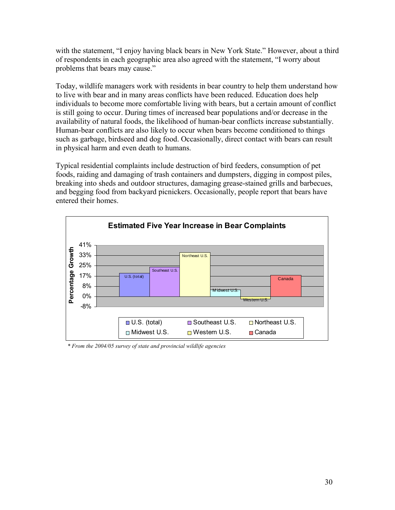with the statement, "I enjoy having black bears in New York State." However, about a third of respondents in each geographic area also agreed with the statement, "I worry about problems that bears may cause."

Today, wildlife managers work with residents in bear country to help them understand how to live with bear and in many areas conflicts have been reduced. Education does help individuals to become more comfortable living with bears, but a certain amount of conflict is still going to occur. During times of increased bear populations and/or decrease in the availability of natural foods, the likelihood of human-bear conflicts increase substantially. Human-bear conflicts are also likely to occur when bears become conditioned to things such as garbage, birdseed and dog food. Occasionally, direct contact with bears can result in physical harm and even death to humans.

Typical residential complaints include destruction of bird feeders, consumption of pet foods, raiding and damaging of trash containers and dumpsters, digging in compost piles, breaking into sheds and outdoor structures, damaging grease-stained grills and barbecues, and begging food from backyard picnickers. Occasionally, people report that bears have entered their homes.



*\* From the 2004/05 survey of state and provincial wildlife agencies*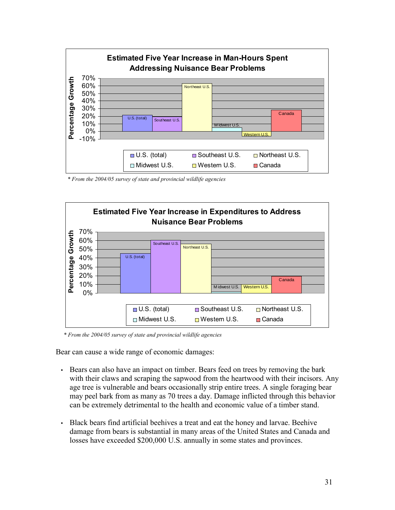

*\* From the 2004/05 survey of state and provincial wildlife agencies*



*\* From the 2004/05 survey of state and provincial wildlife agencies*

Bear can cause a wide range of economic damages:

- Bears can also have an impact on timber. Bears feed on trees by removing the bark with their claws and scraping the sapwood from the heartwood with their incisors. Any age tree is vulnerable and bears occasionally strip entire trees. A single foraging bear may peel bark from as many as 70 trees a day. Damage inflicted through this behavior can be extremely detrimental to the health and economic value of a timber stand.
- Black bears find artificial beehives a treat and eat the honey and larvae. Beehive damage from bears is substantial in many areas of the United States and Canada and losses have exceeded \$200,000 U.S. annually in some states and provinces.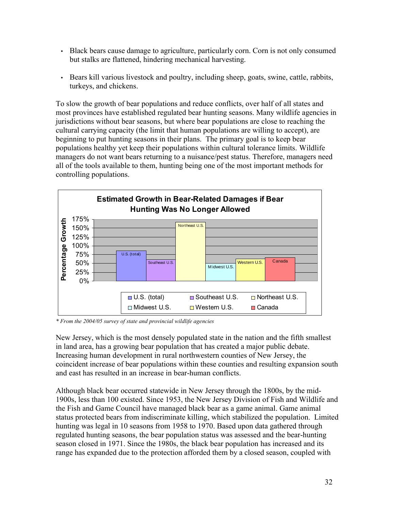- Black bears cause damage to agriculture, particularly corn. Corn is not only consumed but stalks are flattened, hindering mechanical harvesting.
- Bears kill various livestock and poultry, including sheep, goats, swine, cattle, rabbits, turkeys, and chickens.

To slow the growth of bear populations and reduce conflicts, over half of all states and most provinces have established regulated bear hunting seasons. Many wildlife agencies in jurisdictions without bear seasons, but where bear populations are close to reaching the cultural carrying capacity (the limit that human populations are willing to accept), are beginning to put hunting seasons in their plans. The primary goal is to keep bear populations healthy yet keep their populations within cultural tolerance limits. Wildlife managers do not want bears returning to a nuisance/pest status. Therefore, managers need all of the tools available to them, hunting being one of the most important methods for controlling populations.



*\* From the 2004/05 survey of state and provincial wildlife agencies*

New Jersey, which is the most densely populated state in the nation and the fifth smallest in land area, has a growing bear population that has created a major public debate. Increasing human development in rural northwestern counties of New Jersey, the coincident increase of bear populations within these counties and resulting expansion south and east has resulted in an increase in bear-human conflicts.

Although black bear occurred statewide in New Jersey through the 1800s, by the mid-1900s, less than 100 existed. Since 1953, the New Jersey Division of Fish and Wildlife and the Fish and Game Council have managed black bear as a game animal. Game animal status protected bears from indiscriminate killing, which stabilized the population. Limited hunting was legal in 10 seasons from 1958 to 1970. Based upon data gathered through regulated hunting seasons, the bear population status was assessed and the bear-hunting season closed in 1971. Since the 1980s, the black bear population has increased and its range has expanded due to the protection afforded them by a closed season, coupled with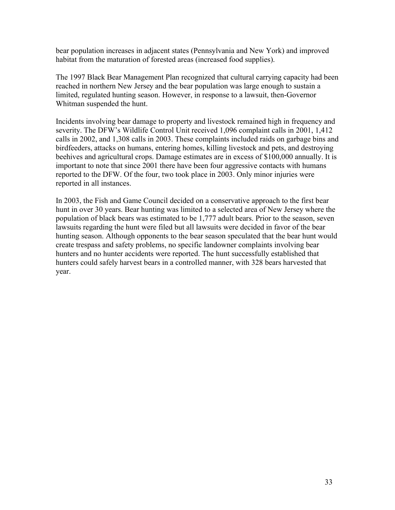bear population increases in adjacent states (Pennsylvania and New York) and improved habitat from the maturation of forested areas (increased food supplies).

The 1997 Black Bear Management Plan recognized that cultural carrying capacity had been reached in northern New Jersey and the bear population was large enough to sustain a limited, regulated hunting season. However, in response to a lawsuit, then-Governor Whitman suspended the hunt.

Incidents involving bear damage to property and livestock remained high in frequency and severity. The DFW's Wildlife Control Unit received 1,096 complaint calls in 2001, 1,412 calls in 2002, and 1,308 calls in 2003. These complaints included raids on garbage bins and birdfeeders, attacks on humans, entering homes, killing livestock and pets, and destroying beehives and agricultural crops. Damage estimates are in excess of \$100,000 annually. It is important to note that since 2001 there have been four aggressive contacts with humans reported to the DFW. Of the four, two took place in 2003. Only minor injuries were reported in all instances.

In 2003, the Fish and Game Council decided on a conservative approach to the first bear hunt in over 30 years. Bear hunting was limited to a selected area of New Jersey where the population of black bears was estimated to be 1,777 adult bears. Prior to the season, seven lawsuits regarding the hunt were filed but all lawsuits were decided in favor of the bear hunting season. Although opponents to the bear season speculated that the bear hunt would create trespass and safety problems, no specific landowner complaints involving bear hunters and no hunter accidents were reported. The hunt successfully established that hunters could safely harvest bears in a controlled manner, with 328 bears harvested that year.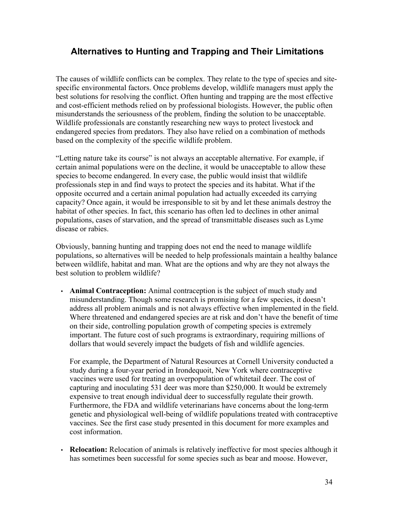# **Alternatives to Hunting and Trapping and Their Limitations**

The causes of wildlife conflicts can be complex. They relate to the type of species and sitespecific environmental factors. Once problems develop, wildlife managers must apply the best solutions for resolving the conflict. Often hunting and trapping are the most effective and cost-efficient methods relied on by professional biologists. However, the public often misunderstands the seriousness of the problem, finding the solution to be unacceptable. Wildlife professionals are constantly researching new ways to protect livestock and endangered species from predators. They also have relied on a combination of methods based on the complexity of the specific wildlife problem.

"Letting nature take its course" is not always an acceptable alternative. For example, if certain animal populations were on the decline, it would be unacceptable to allow these species to become endangered. In every case, the public would insist that wildlife professionals step in and find ways to protect the species and its habitat. What if the opposite occurred and a certain animal population had actually exceeded its carrying capacity? Once again, it would be irresponsible to sit by and let these animals destroy the habitat of other species. In fact, this scenario has often led to declines in other animal populations, cases of starvation, and the spread of transmittable diseases such as Lyme disease or rabies.

Obviously, banning hunting and trapping does not end the need to manage wildlife populations, so alternatives will be needed to help professionals maintain a healthy balance between wildlife, habitat and man. What are the options and why are they not always the best solution to problem wildlife?

• **Animal Contraception:** Animal contraception is the subject of much study and misunderstanding. Though some research is promising for a few species, it doesn't address all problem animals and is not always effective when implemented in the field. Where threatened and endangered species are at risk and don't have the benefit of time on their side, controlling population growth of competing species is extremely important. The future cost of such programs is extraordinary, requiring millions of dollars that would severely impact the budgets of fish and wildlife agencies.

For example, the Department of Natural Resources at Cornell University conducted a study during a four-year period in Irondequoit, New York where contraceptive vaccines were used for treating an overpopulation of whitetail deer. The cost of capturing and inoculating 531 deer was more than \$250,000. It would be extremely expensive to treat enough individual deer to successfully regulate their growth. Furthermore, the FDA and wildlife veterinarians have concerns about the long-term genetic and physiological well-being of wildlife populations treated with contraceptive vaccines. See the first case study presented in this document for more examples and cost information.

• **Relocation:** Relocation of animals is relatively ineffective for most species although it has sometimes been successful for some species such as bear and moose. However,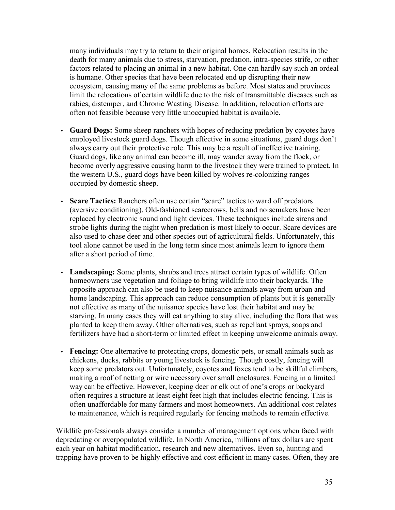many individuals may try to return to their original homes. Relocation results in the death for many animals due to stress, starvation, predation, intra-species strife, or other factors related to placing an animal in a new habitat. One can hardly say such an ordeal is humane. Other species that have been relocated end up disrupting their new ecosystem, causing many of the same problems as before. Most states and provinces limit the relocations of certain wildlife due to the risk of transmittable diseases such as rabies, distemper, and Chronic Wasting Disease. In addition, relocation efforts are often not feasible because very little unoccupied habitat is available.

- **Guard Dogs:** Some sheep ranchers with hopes of reducing predation by coyotes have employed livestock guard dogs. Though effective in some situations, guard dogs don't always carry out their protective role. This may be a result of ineffective training. Guard dogs, like any animal can become ill, may wander away from the flock, or become overly aggressive causing harm to the livestock they were trained to protect. In the western U.S., guard dogs have been killed by wolves re-colonizing ranges occupied by domestic sheep.
- **Scare Tactics:** Ranchers often use certain "scare" tactics to ward off predators (aversive conditioning). Old-fashioned scarecrows, bells and noisemakers have been replaced by electronic sound and light devices. These techniques include sirens and strobe lights during the night when predation is most likely to occur. Scare devices are also used to chase deer and other species out of agricultural fields. Unfortunately, this tool alone cannot be used in the long term since most animals learn to ignore them after a short period of time.
- **Landscaping:** Some plants, shrubs and trees attract certain types of wildlife. Often homeowners use vegetation and foliage to bring wildlife into their backyards. The opposite approach can also be used to keep nuisance animals away from urban and home landscaping. This approach can reduce consumption of plants but it is generally not effective as many of the nuisance species have lost their habitat and may be starving. In many cases they will eat anything to stay alive, including the flora that was planted to keep them away. Other alternatives, such as repellant sprays, soaps and fertilizers have had a short-term or limited effect in keeping unwelcome animals away.
- **Fencing:** One alternative to protecting crops, domestic pets, or small animals such as chickens, ducks, rabbits or young livestock is fencing. Though costly, fencing will keep some predators out. Unfortunately, coyotes and foxes tend to be skillful climbers, making a roof of netting or wire necessary over small enclosures. Fencing in a limited way can be effective. However, keeping deer or elk out of one's crops or backyard often requires a structure at least eight feet high that includes electric fencing. This is often unaffordable for many farmers and most homeowners. An additional cost relates to maintenance, which is required regularly for fencing methods to remain effective.

Wildlife professionals always consider a number of management options when faced with depredating or overpopulated wildlife. In North America, millions of tax dollars are spent each year on habitat modification, research and new alternatives. Even so, hunting and trapping have proven to be highly effective and cost efficient in many cases. Often, they are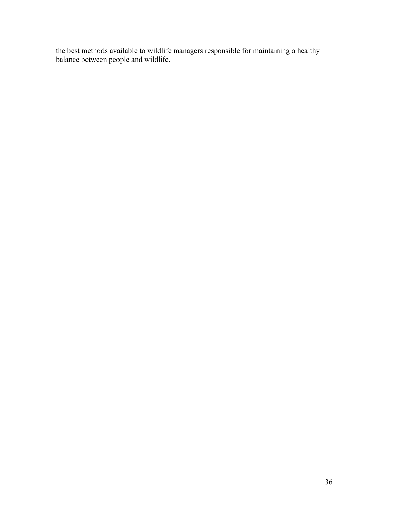the best methods available to wildlife managers responsible for maintaining a healthy balance between people and wildlife.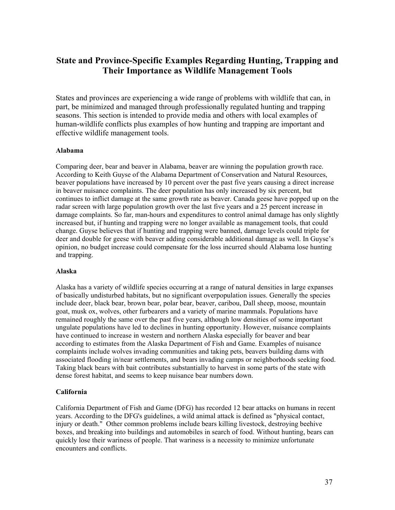# **State and Province-Specific Examples Regarding Hunting, Trapping and Their Importance as Wildlife Management Tools**

States and provinces are experiencing a wide range of problems with wildlife that can, in part, be minimized and managed through professionally regulated hunting and trapping seasons. This section is intended to provide media and others with local examples of human-wildlife conflicts plus examples of how hunting and trapping are important and effective wildlife management tools.

#### **Alabama**

Comparing deer, bear and beaver in Alabama, beaver are winning the population growth race. According to Keith Guyse of the Alabama Department of Conservation and Natural Resources, beaver populations have increased by 10 percent over the past five years causing a direct increase in beaver nuisance complaints. The deer population has only increased by six percent, but continues to inflict damage at the same growth rate as beaver. Canada geese have popped up on the radar screen with large population growth over the last five years and a 25 percent increase in damage complaints. So far, man-hours and expenditures to control animal damage has only slightly increased but, if hunting and trapping were no longer available as management tools, that could change. Guyse believes that if hunting and trapping were banned, damage levels could triple for deer and double for geese with beaver adding considerable additional damage as well. In Guyse's opinion, no budget increase could compensate for the loss incurred should Alabama lose hunting and trapping.

#### **Alaska**

Alaska has a variety of wildlife species occurring at a range of natural densities in large expanses of basically undisturbed habitats, but no significant overpopulation issues. Generally the species include deer, black bear, brown bear, polar bear, beaver, caribou, Dall sheep, moose, mountain goat, musk ox, wolves, other furbearers and a variety of marine mammals. Populations have remained roughly the same over the past five years, although low densities of some important ungulate populations have led to declines in hunting opportunity. However, nuisance complaints have continued to increase in western and northern Alaska especially for beaver and bear according to estimates from the Alaska Department of Fish and Game. Examples of nuisance complaints include wolves invading communities and taking pets, beavers building dams with associated flooding in/near settlements, and bears invading camps or neighborhoods seeking food. Taking black bears with bait contributes substantially to harvest in some parts of the state with dense forest habitat, and seems to keep nuisance bear numbers down.

#### **California**

California Department of Fish and Game (DFG) has recorded 12 bear attacks on humans in recent years. According to the DFG's guidelines, a wild animal attack is defined as "physical contact, injury or death." Other common problems include bears killing livestock, destroying beehive boxes, and breaking into buildings and automobiles in search of food. Without hunting, bears can quickly lose their wariness of people. That wariness is a necessity to minimize unfortunate encounters and conflicts.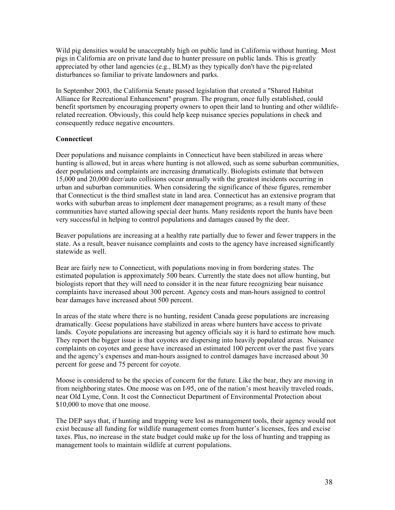Wild pig densities would be unacceptably high on public land in California without hunting. Most pigs in California are on private land due to hunter pressure on public lands. This is greatly appreciated by other land agencies (e.g., BLM) as they typically don't have the pig-related disturbances so familiar to private landowners and parks.

In September 2003, the California Senate passed legislation that created a "Shared Habitat Alliance for Recreational Enhancement" program. The program, once fully established, could benefit sportsmen by encouraging property owners to open their land to hunting and other wildliferelated recreation. Obviously, this could help keep nuisance species populations in check and consequently reduce negative encounters.

#### **Connecticut**

Deer populations and nuisance complaints in Connecticut have been stabilized in areas where hunting is allowed, but in areas where hunting is not allowed, such as some suburban communities, deer populations and complaints are increasing dramatically. Biologists estimate that between 15,000 and 20,000 deer/auto collisions occur annually with the greatest incidents occurring in urban and suburban communities. When considering the significance of these figures, remember that Connecticut is the third smallest state in land area. Connecticut has an extensive program that works with suburban areas to implement deer management programs; as a result many of these communities have started allowing special deer hunts. Many residents report the hunts have been very successful in helping to control populations and damages caused by the deer.

Beaver populations are increasing at a healthy rate partially due to fewer and fewer trappers in the state. As a result, beaver nuisance complaints and costs to the agency have increased significantly statewide as well.

Bear are fairly new to Connecticut, with populations moving in from bordering states. The estimated population is approximately 500 bears. Currently the state does not allow hunting, but biologists report that they will need to consider it in the near future recognizing bear nuisance complaints have increased about 300 percent. Agency costs and man-hours assigned to control bear damages have increased about 500 percent.

In areas of the state where there is no hunting, resident Canada geese populations are increasing dramatically. Geese populations have stabilized in areas where hunters have access to private lands. Coyote populations are increasing but agency officials say it is hard to estimate how much. They report the bigger issue is that coyotes are dispersing into heavily populated areas. Nuisance complaints on coyotes and geese have increased an estimated 100 percent over the past five years and the agency's expenses and man-hours assigned to control damages have increased about 30 percent for geese and 75 percent for coyote.

Moose is considered to be the species of concern for the future. Like the bear, they are moving in from neighboring states. One moose was on I-95, one of the nation's most heavily traveled roads, near Old Lyme, Conn. It cost the Connecticut Department of Environmental Protection about \$10,000 to move that one moose.

The DEP says that, if hunting and trapping were lost as management tools, their agency would not exist because all funding for wildlife management comes from hunter's licenses, fees and excise taxes. Plus, no increase in the state budget could make up for the loss of hunting and trapping as management tools to maintain wildlife at current populations.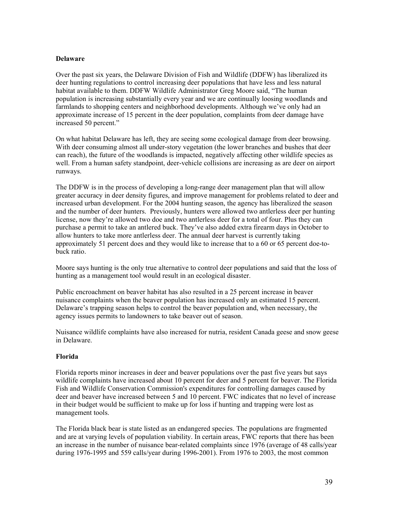#### **Delaware**

Over the past six years, the Delaware Division of Fish and Wildlife (DDFW) has liberalized its deer hunting regulations to control increasing deer populations that have less and less natural habitat available to them. DDFW Wildlife Administrator Greg Moore said, "The human population is increasing substantially every year and we are continually loosing woodlands and farmlands to shopping centers and neighborhood developments. Although we've only had an approximate increase of 15 percent in the deer population, complaints from deer damage have increased 50 percent."

On what habitat Delaware has left, they are seeing some ecological damage from deer browsing. With deer consuming almost all under-story vegetation (the lower branches and bushes that deer can reach), the future of the woodlands is impacted, negatively affecting other wildlife species as well. From a human safety standpoint, deer-vehicle collisions are increasing as are deer on airport runways.

The DDFW is in the process of developing a long-range deer management plan that will allow greater accuracy in deer density figures, and improve management for problems related to deer and increased urban development. For the 2004 hunting season, the agency has liberalized the season and the number of deer hunters. Previously, hunters were allowed two antlerless deer per hunting license, now they're allowed two doe and two antlerless deer for a total of four. Plus they can purchase a permit to take an antlered buck. They've also added extra firearm days in October to allow hunters to take more antlerless deer. The annual deer harvest is currently taking approximately 51 percent does and they would like to increase that to a 60 or 65 percent doe-tobuck ratio.

Moore says hunting is the only true alternative to control deer populations and said that the loss of hunting as a management tool would result in an ecological disaster.

Public encroachment on beaver habitat has also resulted in a 25 percent increase in beaver nuisance complaints when the beaver population has increased only an estimated 15 percent. Delaware's trapping season helps to control the beaver population and, when necessary, the agency issues permits to landowners to take beaver out of season.

Nuisance wildlife complaints have also increased for nutria, resident Canada geese and snow geese in Delaware.

#### **Florida**

Florida reports minor increases in deer and beaver populations over the past five years but says wildlife complaints have increased about 10 percent for deer and 5 percent for beaver. The Florida Fish and Wildlife Conservation Commission's expenditures for controlling damages caused by deer and beaver have increased between 5 and 10 percent. FWC indicates that no level of increase in their budget would be sufficient to make up for loss if hunting and trapping were lost as management tools.

The Florida black bear is state listed as an endangered species. The populations are fragmented and are at varying levels of population viability. In certain areas, FWC reports that there has been an increase in the number of nuisance bear-related complaints since 1976 (average of 48 calls/year during 1976-1995 and 559 calls/year during 1996-2001). From 1976 to 2003, the most common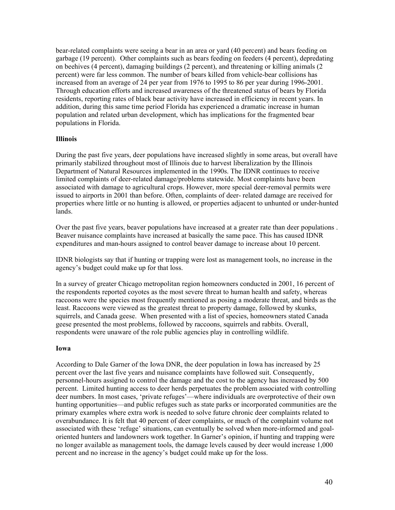bear-related complaints were seeing a bear in an area or yard (40 percent) and bears feeding on garbage (19 percent). Other complaints such as bears feeding on feeders (4 percent), depredating on beehives (4 percent), damaging buildings (2 percent), and threatening or killing animals (2 percent) were far less common. The number of bears killed from vehicle-bear collisions has increased from an average of 24 per year from 1976 to 1995 to 86 per year during 1996-2001. Through education efforts and increased awareness of the threatened status of bears by Florida residents, reporting rates of black bear activity have increased in efficiency in recent years. In addition, during this same time period Florida has experienced a dramatic increase in human population and related urban development, which has implications for the fragmented bear populations in Florida.

#### **Illinois**

During the past five years, deer populations have increased slightly in some areas, but overall have primarily stabilized throughout most of Illinois due to harvest liberalization by the Illinois Department of Natural Resources implemented in the 1990s. The IDNR continues to receive limited complaints of deer-related damage/problems statewide. Most complaints have been associated with damage to agricultural crops. However, more special deer-removal permits were issued to airports in 2001 than before. Often, complaints of deer- related damage are received for properties where little or no hunting is allowed, or properties adjacent to unhunted or under-hunted lands.

Over the past five years, beaver populations have increased at a greater rate than deer populations . Beaver nuisance complaints have increased at basically the same pace. This has caused IDNR expenditures and man-hours assigned to control beaver damage to increase about 10 percent.

IDNR biologists say that if hunting or trapping were lost as management tools, no increase in the agency's budget could make up for that loss.

In a survey of greater Chicago metropolitan region homeowners conducted in 2001, 16 percent of the respondents reported coyotes as the most severe threat to human health and safety, whereas raccoons were the species most frequently mentioned as posing a moderate threat, and birds as the least. Raccoons were viewed as the greatest threat to property damage, followed by skunks, squirrels, and Canada geese. When presented with a list of species, homeowners stated Canada geese presented the most problems, followed by raccoons, squirrels and rabbits. Overall, respondents were unaware of the role public agencies play in controlling wildlife.

#### **Iowa**

According to Dale Garner of the Iowa DNR, the deer population in Iowa has increased by 25 percent over the last five years and nuisance complaints have followed suit. Consequently, personnel-hours assigned to control the damage and the cost to the agency has increased by 500 percent. Limited hunting access to deer herds perpetuates the problem associated with controlling deer numbers. In most cases, 'private refuges'—where individuals are overprotective of their own hunting opportunities—and public refuges such as state parks or incorporated communities are the primary examples where extra work is needed to solve future chronic deer complaints related to overabundance. It is felt that 40 percent of deer complaints, or much of the complaint volume not associated with these 'refuge' situations, can eventually be solved when more-informed and goaloriented hunters and landowners work together. In Garner's opinion, if hunting and trapping were no longer available as management tools, the damage levels caused by deer would increase 1,000 percent and no increase in the agency's budget could make up for the loss.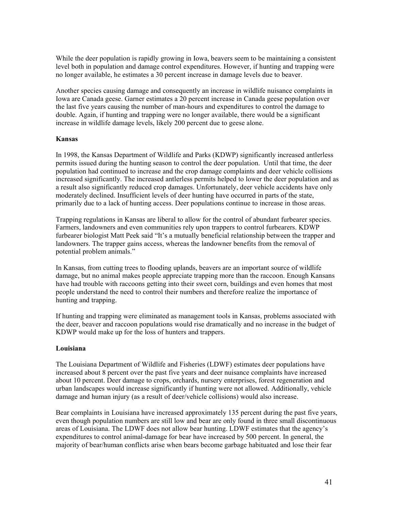While the deer population is rapidly growing in Iowa, beavers seem to be maintaining a consistent level both in population and damage control expenditures. However, if hunting and trapping were no longer available, he estimates a 30 percent increase in damage levels due to beaver.

Another species causing damage and consequently an increase in wildlife nuisance complaints in Iowa are Canada geese. Garner estimates a 20 percent increase in Canada geese population over the last five years causing the number of man-hours and expenditures to control the damage to double. Again, if hunting and trapping were no longer available, there would be a significant increase in wildlife damage levels, likely 200 percent due to geese alone.

#### **Kansas**

In 1998, the Kansas Department of Wildlife and Parks (KDWP) significantly increased antlerless permits issued during the hunting season to control the deer population. Until that time, the deer population had continued to increase and the crop damage complaints and deer vehicle collisions increased significantly. The increased antlerless permits helped to lower the deer population and as a result also significantly reduced crop damages. Unfortunately, deer vehicle accidents have only moderately declined. Insufficient levels of deer hunting have occurred in parts of the state, primarily due to a lack of hunting access. Deer populations continue to increase in those areas.

Trapping regulations in Kansas are liberal to allow for the control of abundant furbearer species. Farmers, landowners and even communities rely upon trappers to control furbearers. KDWP furbearer biologist Matt Peek said "It's a mutually beneficial relationship between the trapper and landowners. The trapper gains access, whereas the landowner benefits from the removal of potential problem animals."

In Kansas, from cutting trees to flooding uplands, beavers are an important source of wildlife damage, but no animal makes people appreciate trapping more than the raccoon. Enough Kansans have had trouble with raccoons getting into their sweet corn, buildings and even homes that most people understand the need to control their numbers and therefore realize the importance of hunting and trapping.

If hunting and trapping were eliminated as management tools in Kansas, problems associated with the deer, beaver and raccoon populations would rise dramatically and no increase in the budget of KDWP would make up for the loss of hunters and trappers.

#### **Louisiana**

The Louisiana Department of Wildlife and Fisheries (LDWF) estimates deer populations have increased about 8 percent over the past five years and deer nuisance complaints have increased about 10 percent. Deer damage to crops, orchards, nursery enterprises, forest regeneration and urban landscapes would increase significantly if hunting were not allowed. Additionally, vehicle damage and human injury (as a result of deer/vehicle collisions) would also increase.

Bear complaints in Louisiana have increased approximately 135 percent during the past five years, even though population numbers are still low and bear are only found in three small discontinuous areas of Louisiana. The LDWF does not allow bear hunting. LDWF estimates that the agency's expenditures to control animal-damage for bear have increased by 500 percent. In general, the majority of bear/human conflicts arise when bears become garbage habituated and lose their fear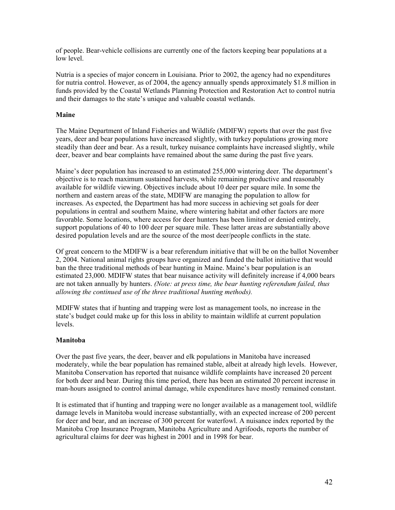of people. Bear-vehicle collisions are currently one of the factors keeping bear populations at a low level.

Nutria is a species of major concern in Louisiana. Prior to 2002, the agency had no expenditures for nutria control. However, as of 2004, the agency annually spends approximately \$1.8 million in funds provided by the Coastal Wetlands Planning Protection and Restoration Act to control nutria and their damages to the state's unique and valuable coastal wetlands.

#### **Maine**

The Maine Department of Inland Fisheries and Wildlife (MDIFW) reports that over the past five years, deer and bear populations have increased slightly, with turkey populations growing more steadily than deer and bear. As a result, turkey nuisance complaints have increased slightly, while deer, beaver and bear complaints have remained about the same during the past five years.

Maine's deer population has increased to an estimated 255,000 wintering deer. The department's objective is to reach maximum sustained harvests, while remaining productive and reasonably available for wildlife viewing. Objectives include about 10 deer per square mile. In some the northern and eastern areas of the state, MDIFW are managing the population to allow for increases. As expected, the Department has had more success in achieving set goals for deer populations in central and southern Maine, where wintering habitat and other factors are more favorable. Some locations, where access for deer hunters has been limited or denied entirely, support populations of 40 to 100 deer per square mile. These latter areas are substantially above desired population levels and are the source of the most deer/people conflicts in the state.

Of great concern to the MDIFW is a bear referendum initiative that will be on the ballot November 2, 2004. National animal rights groups have organized and funded the ballot initiative that would ban the three traditional methods of bear hunting in Maine. Maine's bear population is an estimated 23,000. MDIFW states that bear nuisance activity will definitely increase if 4,000 bears are not taken annually by hunters. *(Note: at press time, the bear hunting referendum failed, thus allowing the continued use of the three traditional hunting methods).*

MDIFW states that if hunting and trapping were lost as management tools, no increase in the state's budget could make up for this loss in ability to maintain wildlife at current population levels.

#### **Manitoba**

Over the past five years, the deer, beaver and elk populations in Manitoba have increased moderately, while the bear population has remained stable, albeit at already high levels. However, Manitoba Conservation has reported that nuisance wildlife complaints have increased 20 percent for both deer and bear. During this time period, there has been an estimated 20 percent increase in man-hours assigned to control animal damage, while expenditures have mostly remained constant.

It is estimated that if hunting and trapping were no longer available as a management tool, wildlife damage levels in Manitoba would increase substantially, with an expected increase of 200 percent for deer and bear, and an increase of 300 percent for waterfowl. A nuisance index reported by the Manitoba Crop Insurance Program, Manitoba Agriculture and Agrifoods, reports the number of agricultural claims for deer was highest in 2001 and in 1998 for bear.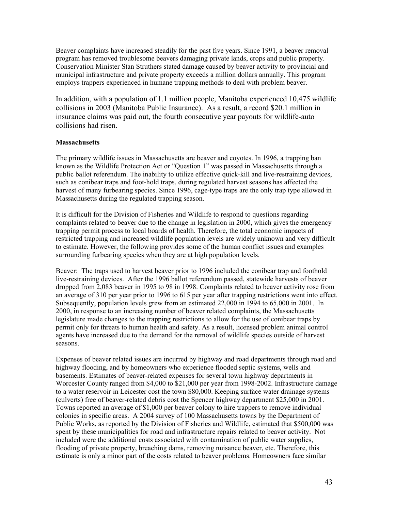Beaver complaints have increased steadily for the past five years. Since 1991, a beaver removal program has removed troublesome beavers damaging private lands, crops and public property. Conservation Minister Stan Struthers stated damage caused by beaver activity to provincial and municipal infrastructure and private property exceeds a million dollars annually. This program employs trappers experienced in humane trapping methods to deal with problem beaver.

In addition, with a population of 1.1 million people, Manitoba experienced 10,475 wildlife collisions in 2003 (Manitoba Public Insurance). As a result, a record \$20.1 million in insurance claims was paid out, the fourth consecutive year payouts for wildlife-auto collisions had risen.

#### **Massachusetts**

The primary wildlife issues in Massachusetts are beaver and coyotes. In 1996, a trapping ban known as the Wildlife Protection Act or "Question 1" was passed in Massachusetts through a public ballot referendum. The inability to utilize effective quick-kill and live-restraining devices, such as conibear traps and foot-hold traps, during regulated harvest seasons has affected the harvest of many furbearing species. Since 1996, cage-type traps are the only trap type allowed in Massachusetts during the regulated trapping season.

It is difficult for the Division of Fisheries and Wildlife to respond to questions regarding complaints related to beaver due to the change in legislation in 2000, which gives the emergency trapping permit process to local boards of health. Therefore, the total economic impacts of restricted trapping and increased wildlife population levels are widely unknown and very difficult to estimate. However, the following provides some of the human conflict issues and examples surrounding furbearing species when they are at high population levels.

Beaver: The traps used to harvest beaver prior to 1996 included the conibear trap and foothold live-restraining devices. After the 1996 ballot referendum passed, statewide harvests of beaver dropped from 2,083 beaver in 1995 to 98 in 1998. Complaints related to beaver activity rose from an average of 310 per year prior to 1996 to 615 per year after trapping restrictions went into effect. Subsequently, population levels grew from an estimated 22,000 in 1994 to 65,000 in 2001. In 2000, in response to an increasing number of beaver related complaints, the Massachusetts legislature made changes to the trapping restrictions to allow for the use of conibear traps by permit only for threats to human health and safety. As a result, licensed problem animal control agents have increased due to the demand for the removal of wildlife species outside of harvest seasons.

Expenses of beaver related issues are incurred by highway and road departments through road and highway flooding, and by homeowners who experience flooded septic systems, wells and basements. Estimates of beaver-related expenses for several town highway departments in Worcester County ranged from \$4,000 to \$21,000 per year from 1998-2002. Infrastructure damage to a water reservoir in Leicester cost the town \$80,000. Keeping surface water drainage systems (culverts) free of beaver-related debris cost the Spencer highway department \$25,000 in 2001. Towns reported an average of \$1,000 per beaver colony to hire trappers to remove individual colonies in specific areas. A 2004 survey of 100 Massachusetts towns by the Department of Public Works, as reported by the Division of Fisheries and Wildlife, estimated that \$500,000 was spent by these municipalities for road and infrastructure repairs related to beaver activity. Not included were the additional costs associated with contamination of public water supplies, flooding of private property, breaching dams, removing nuisance beaver, etc. Therefore, this estimate is only a minor part of the costs related to beaver problems. Homeowners face similar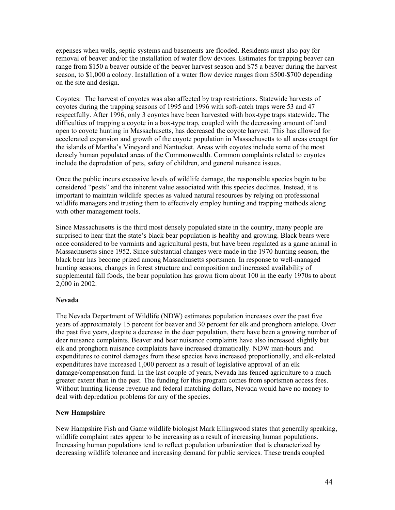expenses when wells, septic systems and basements are flooded. Residents must also pay for removal of beaver and/or the installation of water flow devices. Estimates for trapping beaver can range from \$150 a beaver outside of the beaver harvest season and \$75 a beaver during the harvest season, to \$1,000 a colony. Installation of a water flow device ranges from \$500-\$700 depending on the site and design.

Coyotes: The harvest of coyotes was also affected by trap restrictions. Statewide harvests of coyotes during the trapping seasons of 1995 and 1996 with soft-catch traps were 53 and 47 respectfully. After 1996, only 3 coyotes have been harvested with box-type traps statewide. The difficulties of trapping a coyote in a box-type trap, coupled with the decreasing amount of land open to coyote hunting in Massachusetts, has decreased the coyote harvest. This has allowed for accelerated expansion and growth of the coyote population in Massachusetts to all areas except for the islands of Martha's Vineyard and Nantucket. Areas with coyotes include some of the most densely human populated areas of the Commonwealth. Common complaints related to coyotes include the depredation of pets, safety of children, and general nuisance issues.

Once the public incurs excessive levels of wildlife damage, the responsible species begin to be considered "pests" and the inherent value associated with this species declines. Instead, it is important to maintain wildlife species as valued natural resources by relying on professional wildlife managers and trusting them to effectively employ hunting and trapping methods along with other management tools.

Since Massachusetts is the third most densely populated state in the country, many people are surprised to hear that the state's black bear population is healthy and growing. Black bears were once considered to be varmints and agricultural pests, but have been regulated as a game animal in Massachusetts since 1952. Since substantial changes were made in the 1970 hunting season, the black bear has become prized among Massachusetts sportsmen. In response to well-managed hunting seasons, changes in forest structure and composition and increased availability of supplemental fall foods, the bear population has grown from about 100 in the early 1970s to about 2,000 in 2002.

#### **Nevada**

The Nevada Department of Wildlife (NDW) estimates population increases over the past five years of approximately 15 percent for beaver and 30 percent for elk and pronghorn antelope. Over the past five years, despite a decrease in the deer population, there have been a growing number of deer nuisance complaints. Beaver and bear nuisance complaints have also increased slightly but elk and pronghorn nuisance complaints have increased dramatically. NDW man-hours and expenditures to control damages from these species have increased proportionally, and elk-related expenditures have increased 1,000 percent as a result of legislative approval of an elk damage/compensation fund. In the last couple of years, Nevada has fenced agriculture to a much greater extent than in the past. The funding for this program comes from sportsmen access fees. Without hunting license revenue and federal matching dollars, Nevada would have no money to deal with depredation problems for any of the species.

#### **New Hampshire**

New Hampshire Fish and Game wildlife biologist Mark Ellingwood states that generally speaking, wildlife complaint rates appear to be increasing as a result of increasing human populations. Increasing human populations tend to reflect population urbanization that is characterized by decreasing wildlife tolerance and increasing demand for public services. These trends coupled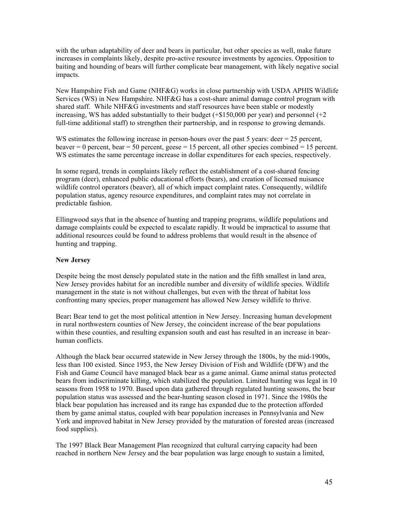with the urban adaptability of deer and bears in particular, but other species as well, make future increases in complaints likely, despite pro-active resource investments by agencies. Opposition to baiting and hounding of bears will further complicate bear management, with likely negative social impacts.

New Hampshire Fish and Game (NHF&G) works in close partnership with USDA APHIS Wildlife Services (WS) in New Hampshire. NHF&G has a cost-share animal damage control program with shared staff. While NHF&G investments and staff resources have been stable or modestly increasing, WS has added substantially to their budget  $(+\$150,000$  per year) and personnel  $(+2)$ full-time additional staff) to strengthen their partnership, and in response to growing demands.

WS estimates the following increase in person-hours over the past 5 years: deer  $= 25$  percent, beaver  $= 0$  percent, bear  $= 50$  percent, geese  $= 15$  percent, all other species combined  $= 15$  percent. WS estimates the same percentage increase in dollar expenditures for each species, respectively.

In some regard, trends in complaints likely reflect the establishment of a cost-shared fencing program (deer), enhanced public educational efforts (bears), and creation of licensed nuisance wildlife control operators (beaver), all of which impact complaint rates. Consequently, wildlife population status, agency resource expenditures, and complaint rates may not correlate in predictable fashion.

Ellingwood says that in the absence of hunting and trapping programs, wildlife populations and damage complaints could be expected to escalate rapidly. It would be impractical to assume that additional resources could be found to address problems that would result in the absence of hunting and trapping.

#### **New Jersey**

Despite being the most densely populated state in the nation and the fifth smallest in land area, New Jersey provides habitat for an incredible number and diversity of wildlife species. Wildlife management in the state is not without challenges, but even with the threat of habitat loss confronting many species, proper management has allowed New Jersey wildlife to thrive.

Bear**:** Bear tend to get the most political attention in New Jersey. Increasing human development in rural northwestern counties of New Jersey, the coincident increase of the bear populations within these counties, and resulting expansion south and east has resulted in an increase in bearhuman conflicts.

Although the black bear occurred statewide in New Jersey through the 1800s, by the mid-1900s, less than 100 existed. Since 1953, the New Jersey Division of Fish and Wildlife (DFW) and the Fish and Game Council have managed black bear as a game animal. Game animal status protected bears from indiscriminate killing, which stabilized the population. Limited hunting was legal in 10 seasons from 1958 to 1970. Based upon data gathered through regulated hunting seasons, the bear population status was assessed and the bear-hunting season closed in 1971. Since the 1980s the black bear population has increased and its range has expanded due to the protection afforded them by game animal status, coupled with bear population increases in Pennsylvania and New York and improved habitat in New Jersey provided by the maturation of forested areas (increased food supplies).

The 1997 Black Bear Management Plan recognized that cultural carrying capacity had been reached in northern New Jersey and the bear population was large enough to sustain a limited,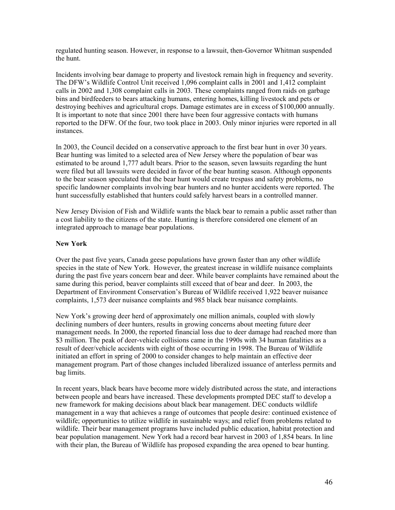regulated hunting season. However, in response to a lawsuit, then-Governor Whitman suspended the hunt.

Incidents involving bear damage to property and livestock remain high in frequency and severity. The DFW's Wildlife Control Unit received 1,096 complaint calls in 2001 and 1,412 complaint calls in 2002 and 1,308 complaint calls in 2003. These complaints ranged from raids on garbage bins and birdfeeders to bears attacking humans, entering homes, killing livestock and pets or destroying beehives and agricultural crops. Damage estimates are in excess of \$100,000 annually. It is important to note that since 2001 there have been four aggressive contacts with humans reported to the DFW. Of the four, two took place in 2003. Only minor injuries were reported in all instances.

In 2003, the Council decided on a conservative approach to the first bear hunt in over 30 years. Bear hunting was limited to a selected area of New Jersey where the population of bear was estimated to be around 1,777 adult bears. Prior to the season, seven lawsuits regarding the hunt were filed but all lawsuits were decided in favor of the bear hunting season. Although opponents to the bear season speculated that the bear hunt would create trespass and safety problems, no specific landowner complaints involving bear hunters and no hunter accidents were reported. The hunt successfully established that hunters could safely harvest bears in a controlled manner.

New Jersey Division of Fish and Wildlife wants the black bear to remain a public asset rather than a cost liability to the citizens of the state. Hunting is therefore considered one element of an integrated approach to manage bear populations.

#### **New York**

Over the past five years, Canada geese populations have grown faster than any other wildlife species in the state of New York. However, the greatest increase in wildlife nuisance complaints during the past five years concern bear and deer. While beaver complaints have remained about the same during this period, beaver complaints still exceed that of bear and deer. In 2003, the Department of Environment Conservation's Bureau of Wildlife received 1,922 beaver nuisance complaints, 1,573 deer nuisance complaints and 985 black bear nuisance complaints.

New York's growing deer herd of approximately one million animals, coupled with slowly declining numbers of deer hunters, results in growing concerns about meeting future deer management needs. In 2000, the reported financial loss due to deer damage had reached more than \$3 million. The peak of deer-vehicle collisions came in the 1990s with 34 human fatalities as a result of deer/vehicle accidents with eight of those occurring in 1998. The Bureau of Wildlife initiated an effort in spring of 2000 to consider changes to help maintain an effective deer management program. Part of those changes included liberalized issuance of anterless permits and bag limits.

In recent years, black bears have become more widely distributed across the state, and interactions between people and bears have increased. These developments prompted DEC staff to develop a new framework for making decisions about black bear management. DEC conducts wildlife management in a way that achieves a range of outcomes that people desire: continued existence of wildlife; opportunities to utilize wildlife in sustainable ways; and relief from problems related to wildlife. Their bear management programs have included public education, habitat protection and bear population management. New York had a record bear harvest in 2003 of 1,854 bears. In line with their plan, the Bureau of Wildlife has proposed expanding the area opened to bear hunting.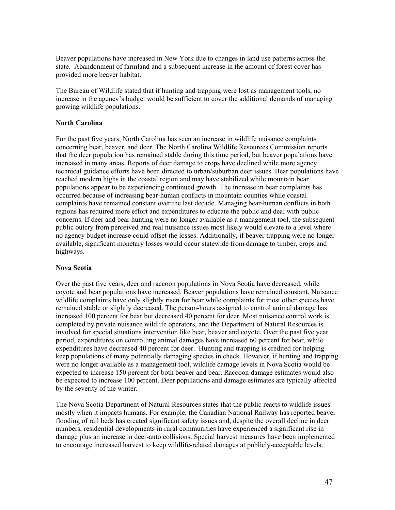Beaver populations have increased in New York due to changes in land use patterns across the state. Abandonment of farmland and a subsequent increase in the amount of forest cover has provided more beaver habitat.

The Bureau of Wildlife stated that if hunting and trapping were lost as management tools, no increase in the agency's budget would be sufficient to cover the additional demands of managing growing wildlife populations.

#### **North Carolina**

For the past five years, North Carolina has seen an increase in wildlife nuisance complaints concerning bear, beaver, and deer. The North Carolina Wildlife Resources Commission reports that the deer population has remained stable during this time period, but beaver populations have increased in many areas. Reports of deer damage to crops have declined while more agency technical guidance efforts have been directed to urban/suburban deer issues. Bear populations have reached modern highs in the coastal region and may have stabilized while mountain bear populations appear to be experiencing continued growth. The increase in bear complaints has occurred because of increasing bear-human conflicts in mountain counties while coastal complaints have remained constant over the last decade. Managing bear-human conflicts in both regions has required more effort and expenditures to educate the public and deal with public concerns. If deer and bear hunting were no longer available as a management tool, the subsequent public outcry from perceived and real nuisance issues most likely would elevate to a level where no agency budget increase could offset the losses. Additionally, if beaver trapping were no longer available, significant monetary losses would occur statewide from damage to timber, crops and highways.

#### **Nova Scotia**

Over the past five years, deer and raccoon populations in Nova Scotia have decreased, while coyote and bear populations have increased. Beaver populations have remained constant. Nuisance wildlife complaints have only slightly risen for bear while complaints for most other species have remained stable or slightly decreased. The person-hours assigned to control animal damage has increased 100 percent for bear but decreased 40 percent for deer. Most nuisance control work is completed by private nuisance wildlife operators, and the Department of Natural Resources is involved for special situations intervention like bear, beaver and coyote. Over the past five year period, expenditures on controlling animal damages have increased 60 percent for bear, while expenditures have decreased 40 percent for deer. Hunting and trapping is credited for helping keep populations of many potentially damaging species in check. However, if hunting and trapping were no longer available as a management tool, wildlife damage levels in Nova Scotia would be expected to increase 150 percent for both beaver and bear. Raccoon damage estimates would also be expected to increase 100 percent. Deer populations and damage estimates are typically affected by the severity of the winter.

The Nova Scotia Department of Natural Resources states that the public reacts to wildlife issues mostly when it impacts humans. For example, the Canadian National Railway has reported beaver flooding of rail beds has created significant safety issues and, despite the overall decline in deer numbers, residential developments in rural communities have experienced a significant rise in damage plus an increase in deer-auto collisions. Special harvest measures have been implemented to encourage increased harvest to keep wildlife-related damages at publicly-acceptable levels.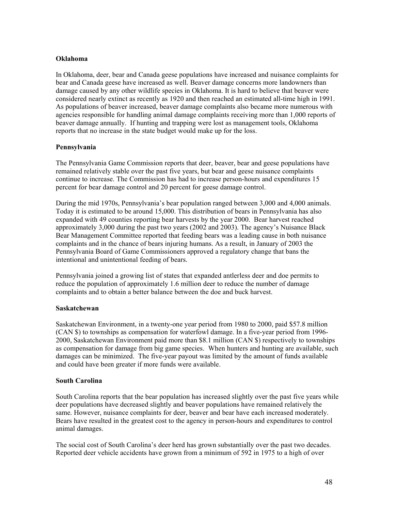#### **Oklahoma**

In Oklahoma, deer, bear and Canada geese populations have increased and nuisance complaints for bear and Canada geese have increased as well. Beaver damage concerns more landowners than damage caused by any other wildlife species in Oklahoma. It is hard to believe that beaver were considered nearly extinct as recently as 1920 and then reached an estimated all-time high in 1991. As populations of beaver increased, beaver damage complaints also became more numerous with agencies responsible for handling animal damage complaints receiving more than 1,000 reports of beaver damage annually. If hunting and trapping were lost as management tools, Oklahoma reports that no increase in the state budget would make up for the loss.

#### **Pennsylvania**

The Pennsylvania Game Commission reports that deer, beaver, bear and geese populations have remained relatively stable over the past five years, but bear and geese nuisance complaints continue to increase. The Commission has had to increase person-hours and expenditures 15 percent for bear damage control and 20 percent for geese damage control.

During the mid 1970s, Pennsylvania's bear population ranged between 3,000 and 4,000 animals. Today it is estimated to be around 15,000. This distribution of bears in Pennsylvania has also expanded with 49 counties reporting bear harvests by the year 2000. Bear harvest reached approximately 3,000 during the past two years (2002 and 2003). The agency's Nuisance Black Bear Management Committee reported that feeding bears was a leading cause in both nuisance complaints and in the chance of bears injuring humans. As a result, in January of 2003 the Pennsylvania Board of Game Commissioners approved a regulatory change that bans the intentional and unintentional feeding of bears.

Pennsylvania joined a growing list of states that expanded antlerless deer and doe permits to reduce the population of approximately 1.6 million deer to reduce the number of damage complaints and to obtain a better balance between the doe and buck harvest.

#### **Saskatchewan**

Saskatchewan Environment, in a twenty-one year period from 1980 to 2000, paid \$57.8 million (CAN \$) to townships as compensation for waterfowl damage. In a five-year period from 1996- 2000, Saskatchewan Environment paid more than \$8.1 million (CAN \$) respectively to townships as compensation for damage from big game species. When hunters and hunting are available, such damages can be minimized. The five-year payout was limited by the amount of funds available and could have been greater if more funds were available.

#### **South Carolina**

South Carolina reports that the bear population has increased slightly over the past five years while deer populations have decreased slightly and beaver populations have remained relatively the same. However, nuisance complaints for deer, beaver and bear have each increased moderately. Bears have resulted in the greatest cost to the agency in person-hours and expenditures to control animal damages.

The social cost of South Carolina's deer herd has grown substantially over the past two decades. Reported deer vehicle accidents have grown from a minimum of 592 in 1975 to a high of over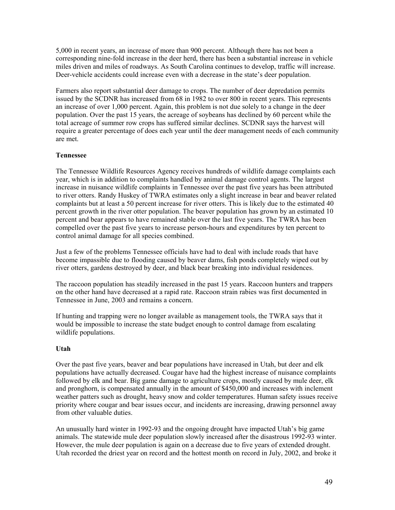5,000 in recent years, an increase of more than 900 percent. Although there has not been a corresponding nine-fold increase in the deer herd, there has been a substantial increase in vehicle miles driven and miles of roadways. As South Carolina continues to develop, traffic will increase. Deer-vehicle accidents could increase even with a decrease in the state's deer population.

Farmers also report substantial deer damage to crops. The number of deer depredation permits issued by the SCDNR has increased from 68 in 1982 to over 800 in recent years. This represents an increase of over 1,000 percent. Again, this problem is not due solely to a change in the deer population. Over the past 15 years, the acreage of soybeans has declined by 60 percent while the total acreage of summer row crops has suffered similar declines. SCDNR says the harvest will require a greater percentage of does each year until the deer management needs of each community are met.

#### **Tennessee**

The Tennessee Wildlife Resources Agency receives hundreds of wildlife damage complaints each year, which is in addition to complaints handled by animal damage control agents. The largest increase in nuisance wildlife complaints in Tennessee over the past five years has been attributed to river otters. Randy Huskey of TWRA estimates only a slight increase in bear and beaver related complaints but at least a 50 percent increase for river otters. This is likely due to the estimated 40 percent growth in the river otter population. The beaver population has grown by an estimated 10 percent and bear appears to have remained stable over the last five years. The TWRA has been compelled over the past five years to increase person-hours and expenditures by ten percent to control animal damage for all species combined.

Just a few of the problems Tennessee officials have had to deal with include roads that have become impassible due to flooding caused by beaver dams, fish ponds completely wiped out by river otters, gardens destroyed by deer, and black bear breaking into individual residences.

The raccoon population has steadily increased in the past 15 years. Raccoon hunters and trappers on the other hand have decreased at a rapid rate. Raccoon strain rabies was first documented in Tennessee in June, 2003 and remains a concern.

If hunting and trapping were no longer available as management tools, the TWRA says that it would be impossible to increase the state budget enough to control damage from escalating wildlife populations.

#### **Utah**

Over the past five years, beaver and bear populations have increased in Utah, but deer and elk populations have actually decreased. Cougar have had the highest increase of nuisance complaints followed by elk and bear. Big game damage to agriculture crops, mostly caused by mule deer, elk and pronghorn, is compensated annually in the amount of \$450,000 and increases with inclement weather patters such as drought, heavy snow and colder temperatures. Human safety issues receive priority where cougar and bear issues occur, and incidents are increasing, drawing personnel away from other valuable duties.

An unusually hard winter in 1992-93 and the ongoing drought have impacted Utah's big game animals. The statewide mule deer population slowly increased after the disastrous 1992-93 winter. However, the mule deer population is again on a decrease due to five years of extended drought. Utah recorded the driest year on record and the hottest month on record in July, 2002, and broke it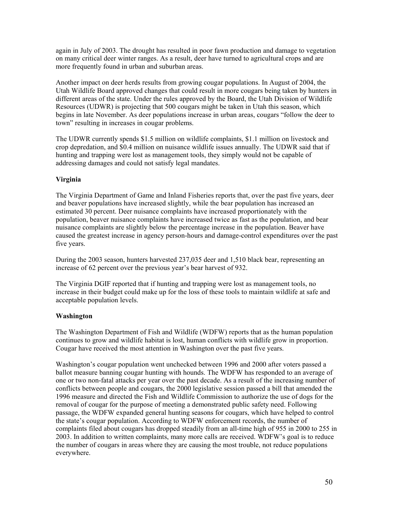again in July of 2003. The drought has resulted in poor fawn production and damage to vegetation on many critical deer winter ranges. As a result, deer have turned to agricultural crops and are more frequently found in urban and suburban areas.

Another impact on deer herds results from growing cougar populations. In August of 2004, the Utah Wildlife Board approved changes that could result in more cougars being taken by hunters in different areas of the state. Under the rules approved by the Board, the Utah Division of Wildlife Resources (UDWR) is projecting that 500 cougars might be taken in Utah this season, which begins in late November. As deer populations increase in urban areas, cougars "follow the deer to town" resulting in increases in cougar problems.

The UDWR currently spends \$1.5 million on wildlife complaints, \$1.1 million on livestock and crop depredation, and \$0.4 million on nuisance wildlife issues annually. The UDWR said that if hunting and trapping were lost as management tools, they simply would not be capable of addressing damages and could not satisfy legal mandates.

#### **Virginia**

The Virginia Department of Game and Inland Fisheries reports that, over the past five years, deer and beaver populations have increased slightly, while the bear population has increased an estimated 30 percent. Deer nuisance complaints have increased proportionately with the population, beaver nuisance complaints have increased twice as fast as the population, and bear nuisance complaints are slightly below the percentage increase in the population. Beaver have caused the greatest increase in agency person-hours and damage-control expenditures over the past five years.

During the 2003 season, hunters harvested 237,035 deer and 1,510 black bear, representing an increase of 62 percent over the previous year's bear harvest of 932.

The Virginia DGIF reported that if hunting and trapping were lost as management tools, no increase in their budget could make up for the loss of these tools to maintain wildlife at safe and acceptable population levels.

#### **Washington**

The Washington Department of Fish and Wildlife (WDFW) reports that as the human population continues to grow and wildlife habitat is lost, human conflicts with wildlife grow in proportion. Cougar have received the most attention in Washington over the past five years.

Washington's cougar population went unchecked between 1996 and 2000 after voters passed a ballot measure banning cougar hunting with hounds. The WDFW has responded to an average of one or two non-fatal attacks per year over the past decade. As a result of the increasing number of conflicts between people and cougars, the 2000 legislative session passed a bill that amended the 1996 measure and directed the Fish and Wildlife Commission to authorize the use of dogs for the removal of cougar for the purpose of meeting a demonstrated public safety need. Following passage, the WDFW expanded general hunting seasons for cougars, which have helped to control the state's cougar population. According to WDFW enforcement records, the number of complaints filed about cougars has dropped steadily from an all-time high of 955 in 2000 to 255 in 2003. In addition to written complaints, many more calls are received. WDFW's goal is to reduce the number of cougars in areas where they are causing the most trouble, not reduce populations everywhere.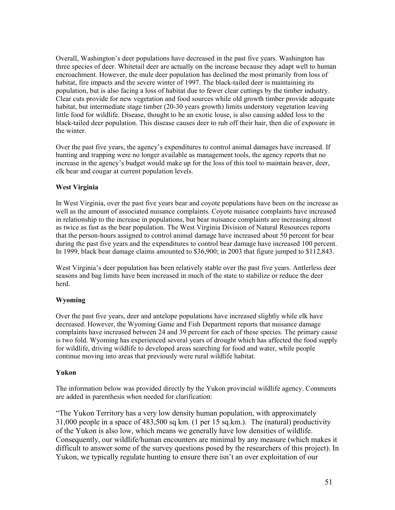Overall, Washington's deer populations have decreased in the past five years. Washington has three species of deer. Whitetail deer are actually on the increase because they adapt well to human encroachment. However, the mule deer population has declined the most primarily from loss of habitat, fire impacts and the severe winter of 1997. The black-tailed deer is maintaining its population, but is also facing a loss of habitat due to fewer clear cuttings by the timber industry. Clear cuts provide for new vegetation and food sources while old growth timber provide adequate habitat, but intermediate stage timber (20-30 years growth) limits understory vegetation leaving little food for wildlife. Disease, thought to be an exotic louse, is also causing added loss to the black-tailed deer population. This disease causes deer to rub off their hair, then die of exposure in the winter.

Over the past five years, the agency's expenditures to control animal damages have increased. If hunting and trapping were no longer available as management tools, the agency reports that no increase in the agency's budget would make up for the loss of this tool to maintain beaver, deer, elk bear and cougar at current population levels.

#### **West Virginia**

In West Virginia, over the past five years bear and coyote populations have been on the increase as well as the amount of associated nuisance complaints. Coyote nuisance complaints have increased in relationship to the increase in populations, but bear nuisance complaints are increasing almost as twice as fast as the bear population. The West Virginia Division of Natural Resources reports that the person-hours assigned to control animal damage have increased about 50 percent for bear during the past five years and the expenditures to control bear damage have increased 100 percent. In 1999, black bear damage claims amounted to \$36,900; in 2003 that figure jumped to \$112,843.

West Virginia's deer population has been relatively stable over the past five years. Antlerless deer seasons and bag limits have been increased in much of the state to stabilize or reduce the deer herd.

#### **Wyoming**

Over the past five years, deer and antelope populations have increased slightly while elk have decreased. However, the Wyoming Game and Fish Department reports that nuisance damage complaints have increased between 24 and 39 percent for each of these species. The primary cause is two fold. Wyoming has experienced several years of drought which has affected the food supply for wildlife, driving wildlife to developed areas searching for food and water, while people continue moving into areas that previously were rural wildlife habitat.

#### **Yukon**

The information below was provided directly by the Yukon provincial wildlife agency. Comments are added in parenthesis when needed for clarification:

"The Yukon Territory has a very low density human population, with approximately 31,000 people in a space of 483,500 sq km. (1 per 15 sq.km.). The (natural) productivity of the Yukon is also low, which means we generally have low densities of wildlife. Consequently, our wildlife/human encounters are minimal by any measure (which makes it difficult to answer some of the survey questions posed by the researchers of this project). In Yukon, we typically regulate hunting to ensure there isn't an over exploitation of our